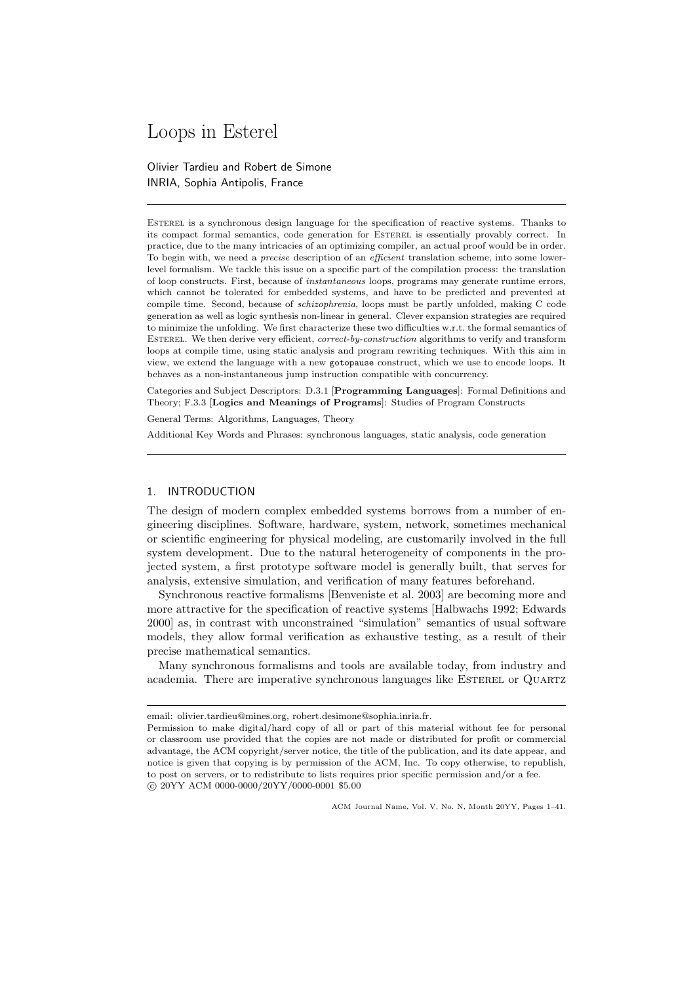# Loops in Esterel

Olivier Tardieu and Robert de Simone INRIA, Sophia Antipolis, France

Esterel is a synchronous design language for the specification of reactive systems. Thanks to its compact formal semantics, code generation for Esterel is essentially provably correct. In practice, due to the many intricacies of an optimizing compiler, an actual proof would be in order. To begin with, we need a *precise* description of an *efficient* translation scheme, into some lowerlevel formalism. We tackle this issue on a specific part of the compilation process: the translation of loop constructs. First, because of instantaneous loops, programs may generate runtime errors, which cannot be tolerated for embedded systems, and have to be predicted and prevented at compile time. Second, because of schizophrenia, loops must be partly unfolded, making C code generation as well as logic synthesis non-linear in general. Clever expansion strategies are required to minimize the unfolding. We first characterize these two difficulties w.r.t. the formal semantics of Esterel. We then derive very efficient, correct-by-construction algorithms to verify and transform loops at compile time, using static analysis and program rewriting techniques. With this aim in view, we extend the language with a new gotopause construct, which we use to encode loops. It behaves as a non-instantaneous jump instruction compatible with concurrency.

Categories and Subject Descriptors: D.3.1 [Programming Languages]: Formal Definitions and Theory; F.3.3 [Logics and Meanings of Programs]: Studies of Program Constructs

General Terms: Algorithms, Languages, Theory

Additional Key Words and Phrases: synchronous languages, static analysis, code generation

# 1. INTRODUCTION

The design of modern complex embedded systems borrows from a number of engineering disciplines. Software, hardware, system, network, sometimes mechanical or scientific engineering for physical modeling, are customarily involved in the full system development. Due to the natural heterogeneity of components in the projected system, a first prototype software model is generally built, that serves for analysis, extensive simulation, and verification of many features beforehand.

Synchronous reactive formalisms [Benveniste et al. 2003] are becoming more and more attractive for the specification of reactive systems [Halbwachs 1992; Edwards 2000] as, in contrast with unconstrained "simulation" semantics of usual software models, they allow formal verification as exhaustive testing, as a result of their precise mathematical semantics.

Many synchronous formalisms and tools are available today, from industry and academia. There are imperative synchronous languages like ESTEREL or QUARTZ

ACM Journal Name, Vol. V, No. N, Month 20YY, Pages 1–41.

email: olivier.tardieu@mines.org, robert.desimone@sophia.inria.fr.

Permission to make digital/hard copy of all or part of this material without fee for personal or classroom use provided that the copies are not made or distributed for profit or commercial advantage, the ACM copyright/server notice, the title of the publication, and its date appear, and notice is given that copying is by permission of the ACM, Inc. To copy otherwise, to republish, to post on servers, or to redistribute to lists requires prior specific permission and/or a fee. c 20YY ACM 0000-0000/20YY/0000-0001 \$5.00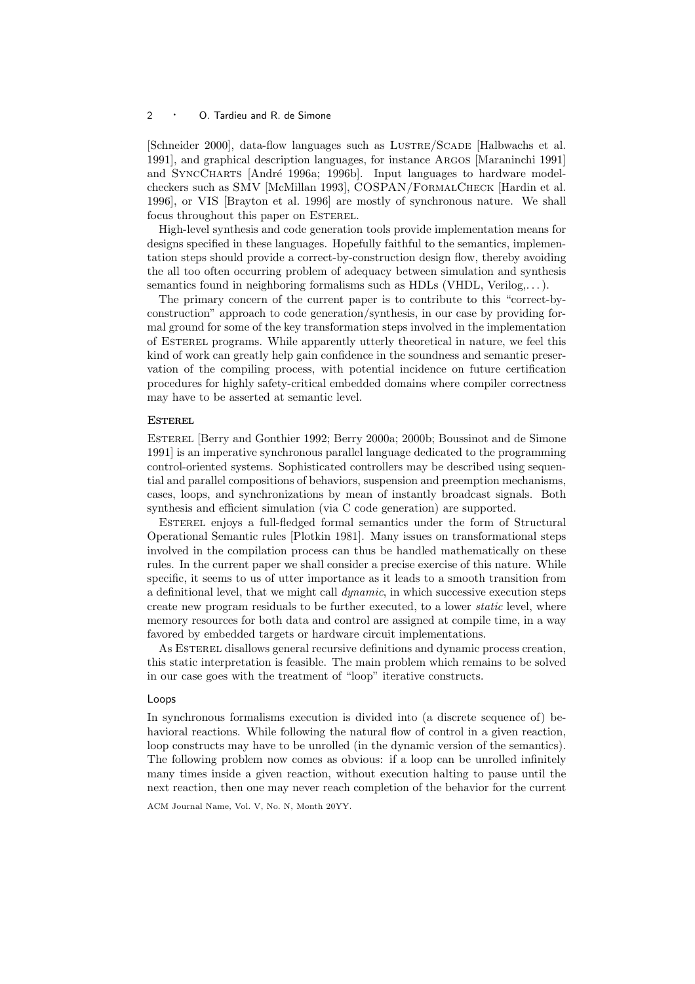[Schneider 2000], data-flow languages such as LUSTRE/SCADE [Halbwachs et al. 1991], and graphical description languages, for instance Argos [Maraninchi 1991] and SYNCCHARTS [André 1996a; 1996b]. Input languages to hardware modelcheckers such as SMV [McMillan 1993], COSPAN/FormalCheck [Hardin et al. 1996], or VIS [Brayton et al. 1996] are mostly of synchronous nature. We shall focus throughout this paper on ESTEREL.

High-level synthesis and code generation tools provide implementation means for designs specified in these languages. Hopefully faithful to the semantics, implementation steps should provide a correct-by-construction design flow, thereby avoiding the all too often occurring problem of adequacy between simulation and synthesis semantics found in neighboring formalisms such as HDLs (VHDL, Verilog,. . . ).

The primary concern of the current paper is to contribute to this "correct-byconstruction" approach to code generation/synthesis, in our case by providing formal ground for some of the key transformation steps involved in the implementation of Esterel programs. While apparently utterly theoretical in nature, we feel this kind of work can greatly help gain confidence in the soundness and semantic preservation of the compiling process, with potential incidence on future certification procedures for highly safety-critical embedded domains where compiler correctness may have to be asserted at semantic level.

#### **ESTEREL**

Esterel [Berry and Gonthier 1992; Berry 2000a; 2000b; Boussinot and de Simone 1991] is an imperative synchronous parallel language dedicated to the programming control-oriented systems. Sophisticated controllers may be described using sequential and parallel compositions of behaviors, suspension and preemption mechanisms, cases, loops, and synchronizations by mean of instantly broadcast signals. Both synthesis and efficient simulation (via C code generation) are supported.

ESTEREL enjoys a full-fledged formal semantics under the form of Structural Operational Semantic rules [Plotkin 1981]. Many issues on transformational steps involved in the compilation process can thus be handled mathematically on these rules. In the current paper we shall consider a precise exercise of this nature. While specific, it seems to us of utter importance as it leads to a smooth transition from a definitional level, that we might call dynamic, in which successive execution steps create new program residuals to be further executed, to a lower static level, where memory resources for both data and control are assigned at compile time, in a way favored by embedded targets or hardware circuit implementations.

As ESTEREL disallows general recursive definitions and dynamic process creation, this static interpretation is feasible. The main problem which remains to be solved in our case goes with the treatment of "loop" iterative constructs.

#### Loops

In synchronous formalisms execution is divided into (a discrete sequence of) behavioral reactions. While following the natural flow of control in a given reaction, loop constructs may have to be unrolled (in the dynamic version of the semantics). The following problem now comes as obvious: if a loop can be unrolled infinitely many times inside a given reaction, without execution halting to pause until the next reaction, then one may never reach completion of the behavior for the current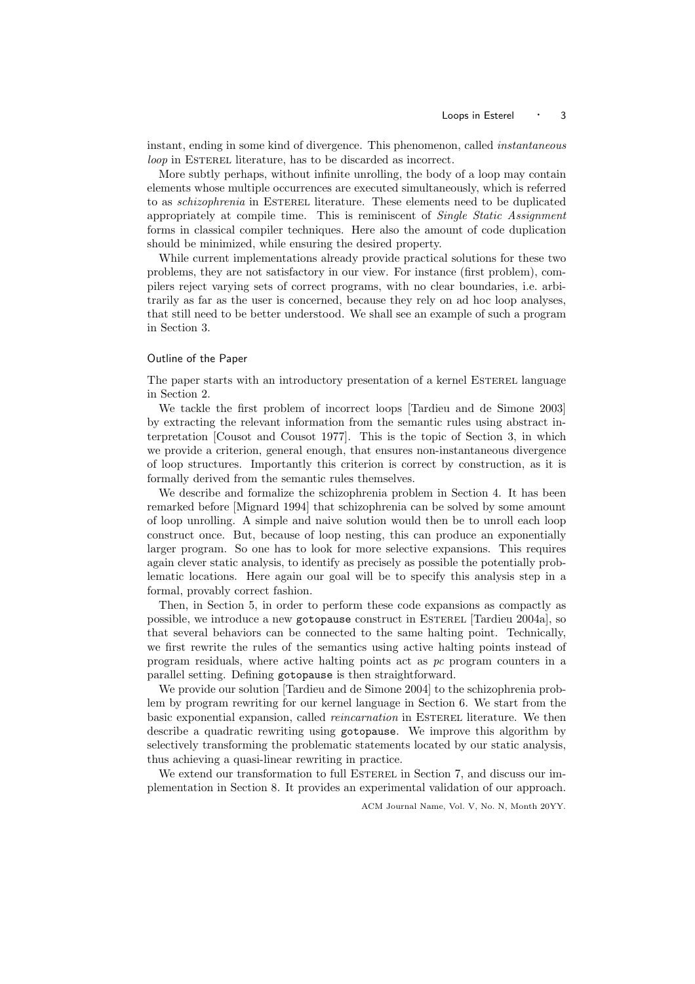instant, ending in some kind of divergence. This phenomenon, called instantaneous loop in ESTEREL literature, has to be discarded as incorrect.

More subtly perhaps, without infinite unrolling, the body of a loop may contain elements whose multiple occurrences are executed simultaneously, which is referred to as *schizophrenia* in ESTEREL literature. These elements need to be duplicated appropriately at compile time. This is reminiscent of Single Static Assignment forms in classical compiler techniques. Here also the amount of code duplication should be minimized, while ensuring the desired property.

While current implementations already provide practical solutions for these two problems, they are not satisfactory in our view. For instance (first problem), compilers reject varying sets of correct programs, with no clear boundaries, i.e. arbitrarily as far as the user is concerned, because they rely on ad hoc loop analyses, that still need to be better understood. We shall see an example of such a program in Section 3.

#### Outline of the Paper

The paper starts with an introductory presentation of a kernel ESTEREL language in Section 2.

We tackle the first problem of incorrect loops [Tardieu and de Simone 2003] by extracting the relevant information from the semantic rules using abstract interpretation [Cousot and Cousot 1977]. This is the topic of Section 3, in which we provide a criterion, general enough, that ensures non-instantaneous divergence of loop structures. Importantly this criterion is correct by construction, as it is formally derived from the semantic rules themselves.

We describe and formalize the schizophrenia problem in Section 4. It has been remarked before [Mignard 1994] that schizophrenia can be solved by some amount of loop unrolling. A simple and naive solution would then be to unroll each loop construct once. But, because of loop nesting, this can produce an exponentially larger program. So one has to look for more selective expansions. This requires again clever static analysis, to identify as precisely as possible the potentially problematic locations. Here again our goal will be to specify this analysis step in a formal, provably correct fashion.

Then, in Section 5, in order to perform these code expansions as compactly as possible, we introduce a new gotopause construct in ESTEREL [Tardieu 2004a], so that several behaviors can be connected to the same halting point. Technically, we first rewrite the rules of the semantics using active halting points instead of program residuals, where active halting points act as pc program counters in a parallel setting. Defining gotopause is then straightforward.

We provide our solution [Tardieu and de Simone 2004] to the schizophrenia problem by program rewriting for our kernel language in Section 6. We start from the basic exponential expansion, called *reincarnation* in ESTEREL literature. We then describe a quadratic rewriting using gotopause. We improve this algorithm by selectively transforming the problematic statements located by our static analysis, thus achieving a quasi-linear rewriting in practice.

We extend our transformation to full ESTEREL in Section 7, and discuss our implementation in Section 8. It provides an experimental validation of our approach.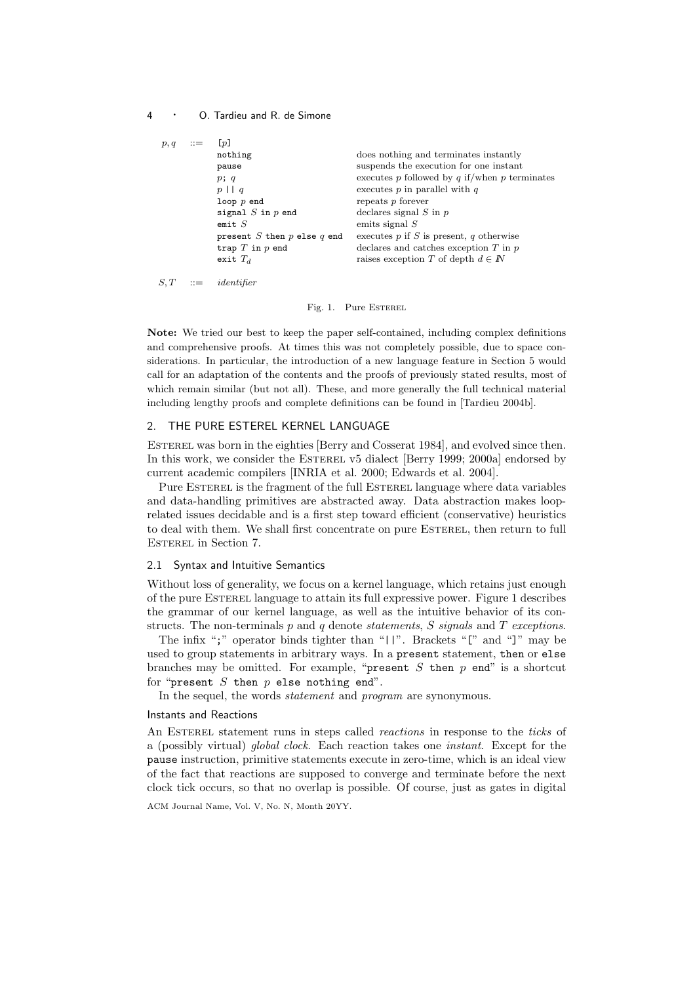| p, q | [p]                               |                                                |
|------|-----------------------------------|------------------------------------------------|
|      | nothing                           | does nothing and terminates instantly          |
|      | pause                             | suspends the execution for one instant         |
|      | p; q                              | executes p followed by q if/when p terminates  |
|      | $p \mid q$                        | executes $p$ in parallel with $q$              |
|      | loop $p$ end                      | repeats p forever                              |
|      | signal $S$ in $p$ end             | declares signal $S$ in $p$                     |
|      | emit $S$                          | emits signal $S$                               |
|      | present $S$ then $p$ else $q$ end | executes $p$ if S is present, q otherwise      |
|      | trap $T$ in $p$ end               | declares and catches exception $T$ in $p$      |
|      | exit $T_d$                        | raises exception T of depth $d \in \mathbb{N}$ |
|      |                                   |                                                |

 $S, T$  ::= *identifier* 

Fig. 1. Pure ESTEREL

Note: We tried our best to keep the paper self-contained, including complex definitions and comprehensive proofs. At times this was not completely possible, due to space considerations. In particular, the introduction of a new language feature in Section 5 would call for an adaptation of the contents and the proofs of previously stated results, most of which remain similar (but not all). These, and more generally the full technical material including lengthy proofs and complete definitions can be found in [Tardieu 2004b].

## 2. THE PURE ESTEREL KERNEL LANGUAGE

Esterel was born in the eighties [Berry and Cosserat 1984], and evolved since then. In this work, we consider the ESTEREL v5 dialect [Berry 1999; 2000a] endorsed by current academic compilers [INRIA et al. 2000; Edwards et al. 2004].

Pure Esterel is the fragment of the full Esterel language where data variables and data-handling primitives are abstracted away. Data abstraction makes looprelated issues decidable and is a first step toward efficient (conservative) heuristics to deal with them. We shall first concentrate on pure ESTEREL, then return to full ESTEREL in Section 7.

#### 2.1 Syntax and Intuitive Semantics

Without loss of generality, we focus on a kernel language, which retains just enough of the pure Esterel language to attain its full expressive power. Figure 1 describes the grammar of our kernel language, as well as the intuitive behavior of its constructs. The non-terminals p and q denote statements, S signals and T exceptions.

The infix ";" operator binds tighter than "||". Brackets "[" and "]" may be used to group statements in arbitrary ways. In a present statement, then or else branches may be omitted. For example, "present  $S$  then  $p$  end" is a shortcut for "present  $S$  then  $p$  else nothing end".

In the sequel, the words statement and program are synonymous.

# Instants and Reactions

An ESTEREL statement runs in steps called *reactions* in response to the *ticks* of a (possibly virtual) global clock. Each reaction takes one instant. Except for the pause instruction, primitive statements execute in zero-time, which is an ideal view of the fact that reactions are supposed to converge and terminate before the next clock tick occurs, so that no overlap is possible. Of course, just as gates in digital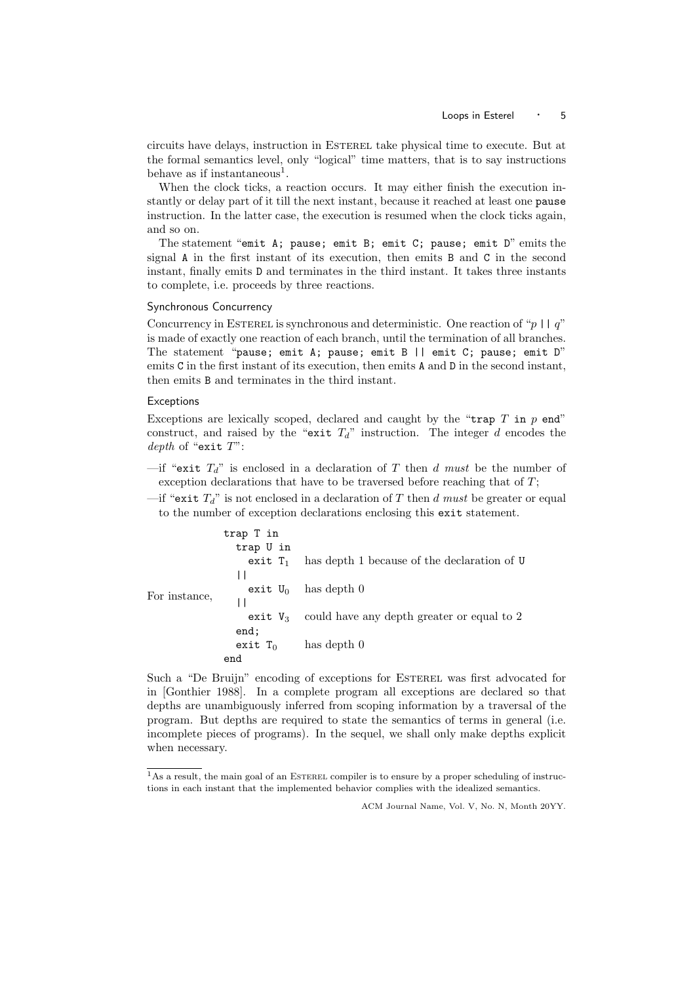circuits have delays, instruction in Esterel take physical time to execute. But at the formal semantics level, only "logical" time matters, that is to say instructions behave as if instantaneous<sup>1</sup>.

When the clock ticks, a reaction occurs. It may either finish the execution instantly or delay part of it till the next instant, because it reached at least one pause instruction. In the latter case, the execution is resumed when the clock ticks again, and so on.

The statement "emit A; pause; emit B; emit C; pause; emit D" emits the signal A in the first instant of its execution, then emits B and C in the second instant, finally emits D and terminates in the third instant. It takes three instants to complete, i.e. proceeds by three reactions.

## Synchronous Concurrency

Concurrency in ESTEREL is synchronous and deterministic. One reaction of "p  $|| q$ " is made of exactly one reaction of each branch, until the termination of all branches. The statement "pause; emit A; pause; emit B || emit C; pause; emit D" emits C in the first instant of its execution, then emits A and D in the second instant, then emits B and terminates in the third instant.

## Exceptions

Exceptions are lexically scoped, declared and caught by the " $\text{trap } T$  in p end" construct, and raised by the "exit  $T_d$ " instruction. The integer d encodes the depth of "exit  $T$ ":

—if "exit  $T_d$ " is enclosed in a declaration of T then d must be the number of exception declarations that have to be traversed before reaching that of  $T$ ;

—if "exit  $T_d$ " is not enclosed in a declaration of T then d must be greater or equal to the number of exception declarations enclosing this exit statement.

|               | trap T in   |                                             |
|---------------|-------------|---------------------------------------------|
|               | trap U in   |                                             |
|               | $ext$ $T_1$ | has depth 1 because of the declaration of U |
|               | Ħ           |                                             |
|               |             | exit $U_0$ has depth 0                      |
| For instance, |             |                                             |
|               | $ext V_3$   | could have any depth greater or equal to 2  |
|               | end;        |                                             |
|               | exit $T_0$  | has depth 0                                 |
|               | end         |                                             |

Such a "De Bruijn" encoding of exceptions for ESTEREL was first advocated for in [Gonthier 1988]. In a complete program all exceptions are declared so that depths are unambiguously inferred from scoping information by a traversal of the program. But depths are required to state the semantics of terms in general (i.e. incomplete pieces of programs). In the sequel, we shall only make depths explicit when necessary.

 $1<sub>As a result</sub>$ , the main goal of an ESTEREL compiler is to ensure by a proper scheduling of instructions in each instant that the implemented behavior complies with the idealized semantics.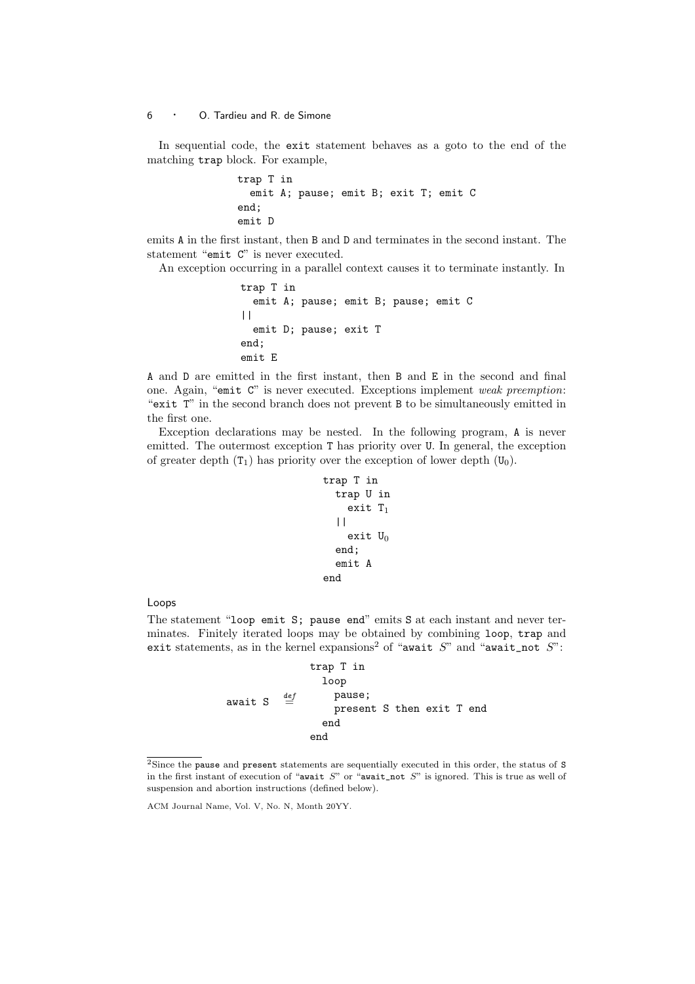In sequential code, the exit statement behaves as a goto to the end of the matching trap block. For example,

```
trap T in
  emit A; pause; emit B; exit T; emit C
end;
emit D
```
emits A in the first instant, then B and D and terminates in the second instant. The statement "emit C" is never executed.

An exception occurring in a parallel context causes it to terminate instantly. In

```
trap T in
  emit A; pause; emit B; pause; emit C
||emit D; pause; exit T
end;
emit E
```
A and D are emitted in the first instant, then B and E in the second and final one. Again, "emit C" is never executed. Exceptions implement weak preemption: "exit T" in the second branch does not prevent B to be simultaneously emitted in the first one.

Exception declarations may be nested. In the following program, A is never emitted. The outermost exception T has priority over U. In general, the exception of greater depth  $(T_1)$  has priority over the exception of lower depth  $(U_0)$ .

```
trap T in
  trap U in
    exit T_1||exit U_0end;
  emit A
end
```
#### Loops

The statement "loop emit S; pause end" emits S at each instant and never terminates. Finitely iterated loops may be obtained by combining loop, trap and exit statements, as in the kernel expansions<sup>2</sup> of "await  $S$ " and "await\_not  $S$ ":

```
await S
            \stackrel{def}{=}trap T in
                    loop
                      pause;
                      present S then exit T end
                    end
                 end
```
<sup>2</sup>Since the pause and present statements are sequentially executed in this order, the status of S in the first instant of execution of "await  $S$ " or "await\_not  $S$ " is ignored. This is true as well of suspension and abortion instructions (defined below).

ACM Journal Name, Vol. V, No. N, Month 20YY.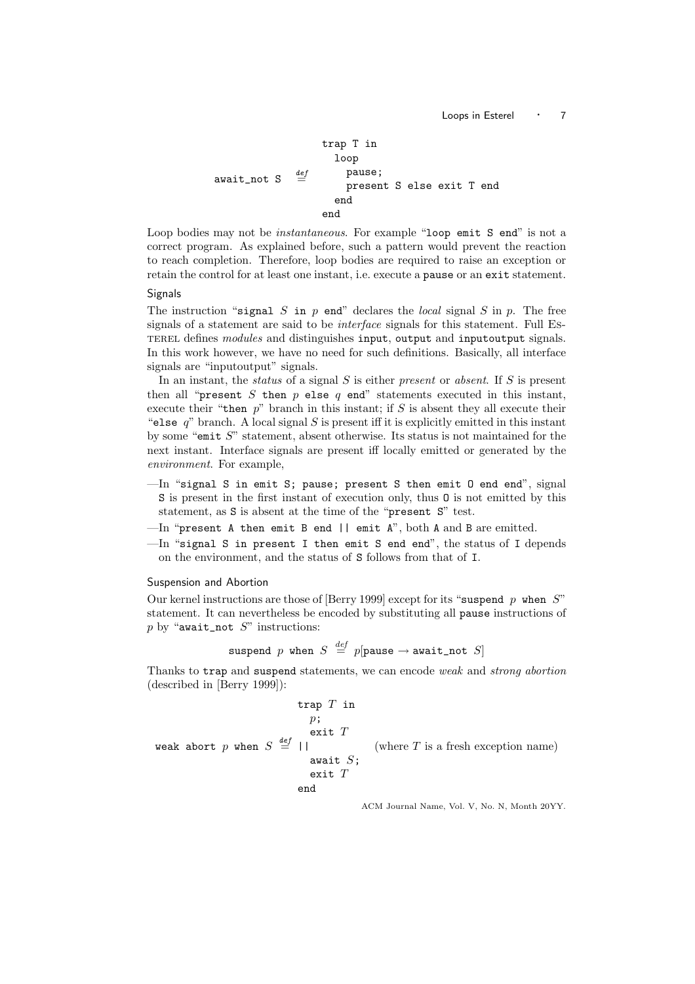```
await not S
                 \stackrel{def}{=}trap T in
                         loop
                           pause;
                           present S else exit T end
                         end
                      end
```
Loop bodies may not be *instantaneous*. For example "loop emit S end" is not a correct program. As explained before, such a pattern would prevent the reaction to reach completion. Therefore, loop bodies are required to raise an exception or retain the control for at least one instant, i.e. execute a pause or an exit statement.

## Signals

The instruction "signal S in p end" declares the local signal S in p. The free signals of a statement are said to be interface signals for this statement. Full Es-TEREL defines modules and distinguishes input, output and inputoutput signals. In this work however, we have no need for such definitions. Basically, all interface signals are "input output" signals.

In an instant, the *status* of a signal  $S$  is either *present* or *absent*. If  $S$  is present then all "present  $S$  then  $p$  else  $q$  end" statements executed in this instant, execute their "then  $p$ " branch in this instant; if S is absent they all execute their "else  $q$ " branch. A local signal S is present iff it is explicitly emitted in this instant by some "emit S" statement, absent otherwise. Its status is not maintained for the next instant. Interface signals are present iff locally emitted or generated by the environment. For example,

- $\text{---}\text{In}$  "signal S in emit S; pause; present S then emit 0 end end", signal S is present in the first instant of execution only, thus 0 is not emitted by this statement, as S is absent at the time of the "present S" test.
- $\text{---}\text{In}$  "present A then emit B end || emit A", both A and B are emitted.
- —In "signal S in present I then emit S end end", the status of I depends on the environment, and the status of S follows from that of I.

## Suspension and Abortion

Our kernel instructions are those of [Berry 1999] except for its "suspend p when  $S$ " statement. It can nevertheless be encoded by substituting all pause instructions of  $p$  by "await\_not  $S$ " instructions:

$$
suspend\ p\ when\ S\ \stackrel{def}{=} p[\text{pulse}\to\text{await\_not}\ S]
$$

Thanks to trap and suspend statements, we can encode weak and strong abortion (described in [Berry 1999]):

$$
\begin{array}{cc}\n & \text{trap } T \text{ in} \\
 & p; \\
 & \text{exit } T \\
 & \text{wait } S; \\
 & & \text{exit } T \\
 & & & \text{wait } S; \\
 & & & \text{exit } T \\
 & & & \text{end}\n\end{array}
$$
\n(where T is a fresh exception name)

\n
$$
\begin{array}{cc}\n & \text{axait } S; \\
 & \text{exit } T\n\end{array}
$$
\n(where T is a fresh exception name)

\n
$$
\begin{array}{cc}\n & \text{axait } S; \\
 & \text{exit } T\n\end{array}
$$
\nACM Journal Name, Vol. V, No. N, Month 20YY.\n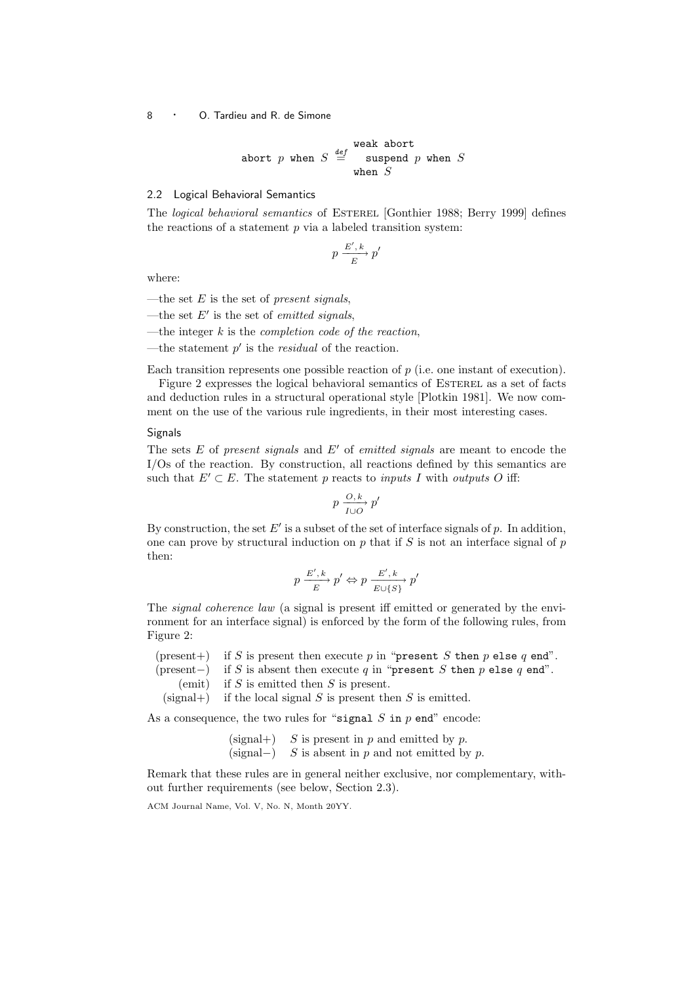$$
\begin{array}{rcl}\text{abort} & \text{p when} & S \stackrel{\text{def}}{=} & \text{suspend} & p \text{ when} & S \\ \text{when} & S & \end{array}
$$

## 2.2 Logical Behavioral Semantics

The *logical behavioral semantics* of ESTEREL [Gonthier 1988; Berry 1999] defines the reactions of a statement  $p$  via a labeled transition system:

$$
p \xrightarrow{E',\, k} p'
$$

where:

—the set  $E$  is the set of *present signals*,

—the set  $E'$  is the set of *emitted signals*,

—the integer  $k$  is the *completion code of the reaction*,

—the statement  $p'$  is the *residual* of the reaction.

Each transition represents one possible reaction of  $p$  (i.e. one instant of execution). Figure 2 expresses the logical behavioral semantics of ESTEREL as a set of facts and deduction rules in a structural operational style [Plotkin 1981]. We now comment on the use of the various rule ingredients, in their most interesting cases.

Signals

The sets  $E$  of present signals and  $E'$  of emitted signals are meant to encode the I/Os of the reaction. By construction, all reactions defined by this semantics are such that  $E' \subset E$ . The statement p reacts to *inputs I* with *outputs O* iff:

$$
p \xrightarrow[I\cup O]{O,k} p'
$$

By construction, the set  $E'$  is a subset of the set of interface signals of  $p$ . In addition, one can prove by structural induction on  $p$  that if  $S$  is not an interface signal of  $p$ then:

$$
p \xrightarrow{E', k} p' \Leftrightarrow p \xrightarrow{E', k} p'
$$

The *signal coherence law* (a signal is present iff emitted or generated by the environment for an interface signal) is enforced by the form of the following rules, from Figure 2:

(present +) if S is present then execute p in "present S then p else q end".

(present-) if S is absent then execute q in "present S then p else q end".

(emit) if  $S$  is emitted then  $S$  is present.

p

(signal+) if the local signal S is present then S is emitted.

As a consequence, the two rules for "signal  $S$  in  $p$  end" encode:

- (signal+) S is present in p and emitted by p.
- (signal–) S is absent in p and not emitted by p.

Remark that these rules are in general neither exclusive, nor complementary, without further requirements (see below, Section 2.3).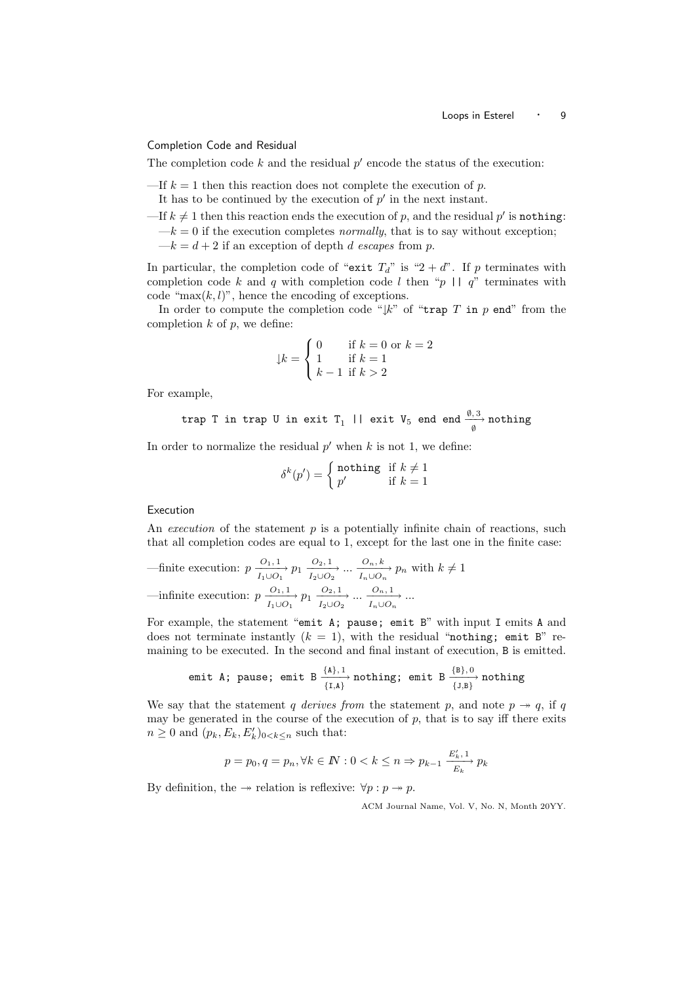## Completion Code and Residual

The completion code  $k$  and the residual  $p'$  encode the status of the execution:

- —If  $k = 1$  then this reaction does not complete the execution of p.
- It has to be continued by the execution of  $p'$  in the next instant.
- $\text{If } k \neq 1 \text{ then this reaction ends the execution of } p \text{, and the residual } p' \text{ is nothing:}$
- $-k = 0$  if the execution completes *normally*, that is to say without exception;
- $-k = d + 2$  if an exception of depth d escapes from p.

In particular, the completion code of "exit  $T_d$ " is "2 + d". If p terminates with completion code k and q with completion code l then "p ||  $q$ " terminates with code "max $(k, l)$ ", hence the encoding of exceptions.

In order to compute the completion code " $\downarrow k$ " of "trap T in p end" from the completion  $k$  of  $p$ , we define:

$$
\downarrow k = \begin{cases} 0 & \text{if } k = 0 \text{ or } k = 2 \\ 1 & \text{if } k = 1 \\ k - 1 & \text{if } k > 2 \end{cases}
$$

For example,

trap T in trap U in exit  $T_1$  || exit  $V_5$  end end  $\frac{\emptyset, 3}{\emptyset}$  nothing

In order to normalize the residual  $p'$  when k is not 1, we define:

$$
\delta^k(p') = \begin{cases} \text{nothing} & \text{if } k \neq 1 \\ p' & \text{if } k = 1 \end{cases}
$$

Execution

An execution of the statement  $p$  is a potentially infinite chain of reactions, such that all completion codes are equal to 1, except for the last one in the finite case:

$$
\begin{aligned}\n\text{—finite execution: } p & \xrightarrow{O_1, 1} p_1 \xrightarrow{O_2, 1} \dots \xrightarrow{O_n, k} p_n \text{ with } k \neq 1 \\
\text{—infinite execution: } p & \xrightarrow{O_1, 1} p_1 \xrightarrow{O_2, 1} \dots \xrightarrow{O_n, 1} \dots \\
\text{---infinite execution: } p & \xrightarrow{I_1 \cup O_1} p_1 \xrightarrow{O_2, 1} \dots \xrightarrow{O_n, 1} \dots\n\end{aligned}
$$

For example, the statement "emit A; pause; emit B" with input I emits A and does not terminate instantly  $(k = 1)$ , with the residual "nothing; emit B" remaining to be executed. In the second and final instant of execution, B is emitted.

emit A; pause; emit B 
$$
\frac{\{A\}, 1}{\{I, A\}}
$$
 nothing; emit B  $\frac{\{B\}, 0}{\{J, B\}}$  nothing

We say that the statement q derives from the statement p, and note  $p \rightarrow q$ , if q may be generated in the course of the execution of  $p$ , that is to say iff there exits  $n \geq 0$  and  $(p_k, E_k, E'_k)_{0 \leq k \leq n}$  such that:

$$
p=p_0, q=p_n, \forall k \in \mathbb{N}: 0 < k \leq n \Rightarrow p_{k-1} \xrightarrow{E'_k, 1} p_k
$$

By definition, the  $\rightarrow$  relation is reflexive:  $\forall p : p \rightarrow p$ .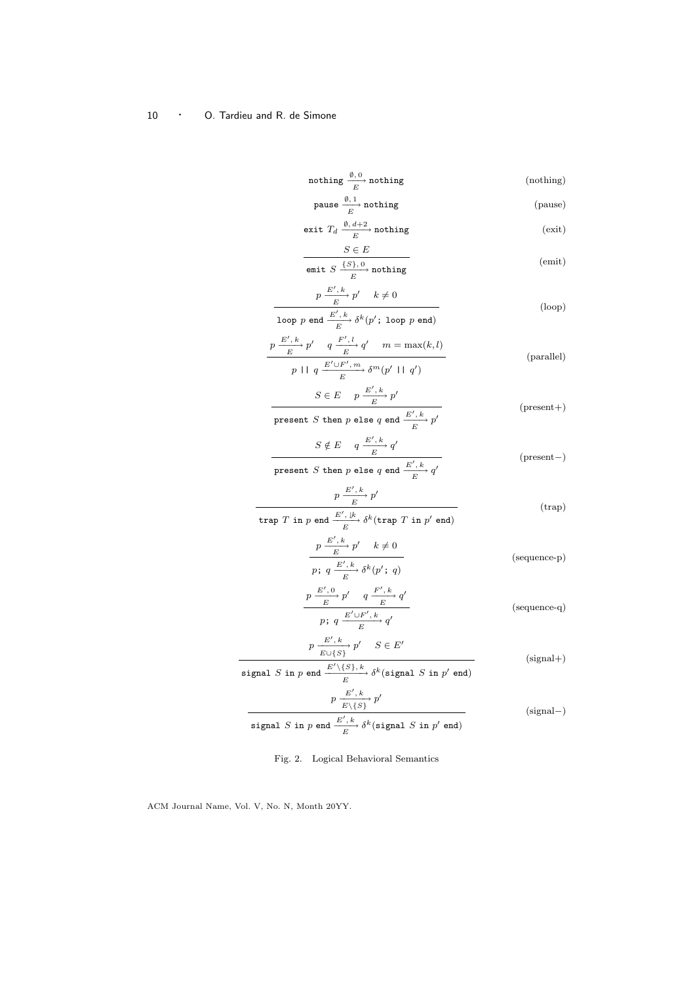$$
\begin{array}{ll}\n\text{nothing} & \xrightarrow{\emptyset, 0} \\
\hline\nE & \xrightarrow{\emptyset, 1}\n\end{array}\n\tag{nothing}
$$

$$
\text{pulse } \frac{\emptyset, 1}{E} \text{ nothing} \tag{pause}
$$

$$
\begin{aligned}\n\text{exit } T_d \xrightarrow{ \emptyset, \, d+2 \, } & \text{nothing} \\
 & S \in E\n\end{aligned}\n\tag{exit}
$$

$$
\overline{\text{emit } S \xrightarrow{\{S\}, 0 \atop E} \text{nothing}} \qquad \qquad \text{(emit)}
$$

$$
p \xrightarrow{E', k} p' \qquad k \neq 0
$$
  
\n
$$
E', k \xrightarrow{E', k} \mathbb{C}^k \qquad (loop)
$$

loop *p* end 
$$
\frac{E^T, E}{E}
$$
  $\delta^k(p')$ ; loop *p* end)  
 $E^{\prime}, k$ ,  $F^{\prime}, l$ 

$$
\frac{p \frac{E', k}{E} p' \quad q \frac{F', l}{E} q' \quad m = \max(k, l)}{p \mid q \frac{E' \cup F', m}{E} \delta^m(p' \mid q')}
$$
 (parallel)

$$
S \in E \quad p \xrightarrow{E', k} p'
$$
  
present S then p else q end  $\xrightarrow{E', k} p'$  (present+)

$$
S \notin E \quad q \xrightarrow{E', k} q'
$$
  
present S then p else q end  $\xrightarrow{E', k} q'$  (present-)

$$
p \xrightarrow{E', k} p'
$$
\n
$$
p \xrightarrow{L'} p'
$$
\n
$$
(trap)
$$

trap *T* in *p* end 
$$
\xrightarrow{E', k} \delta^k
$$
(trap *T* in *p'* end)  

$$
\xrightarrow{E', k} \xrightarrow{n'} k \neq 0
$$

$$
\frac{p \frac{E', k}{E} p' \quad k \neq 0}{p; \ q \frac{E', k}{E} \delta^k(p'; q)}
$$
 (sequence-p)

$$
\frac{p \frac{E', 0}{E}, p' \ q \frac{F', k}{E} q'}{p; q \frac{E' \cup F', k}{E} q'}
$$
 (sequence-q)

$$
\cfrac{p\xrightarrow{E',k}\t p'}{E\cup\{S\}}\cdot p'\quad S\in E' \\
 \cfrac{p'\cdot\{S\},k}{E'}\delta^k(\text{signal }S\text{ in }p'\text{ end})\n \qquad \qquad (\text{signal}+)
$$

$$
\frac{p \xrightarrow{E \ , k} p'}{E \setminus \{S\}} p' \qquad (signal -)
$$
  
signal *S* in *p* end  $\xrightarrow{E', k} \delta^k$  (signal *S* in *p'* end)

Fig. 2. Logical Behavioral Semantics

ACM Journal Name, Vol. V, No. N, Month 20YY.

 $\overline{a}$ 

 $\overline{a}$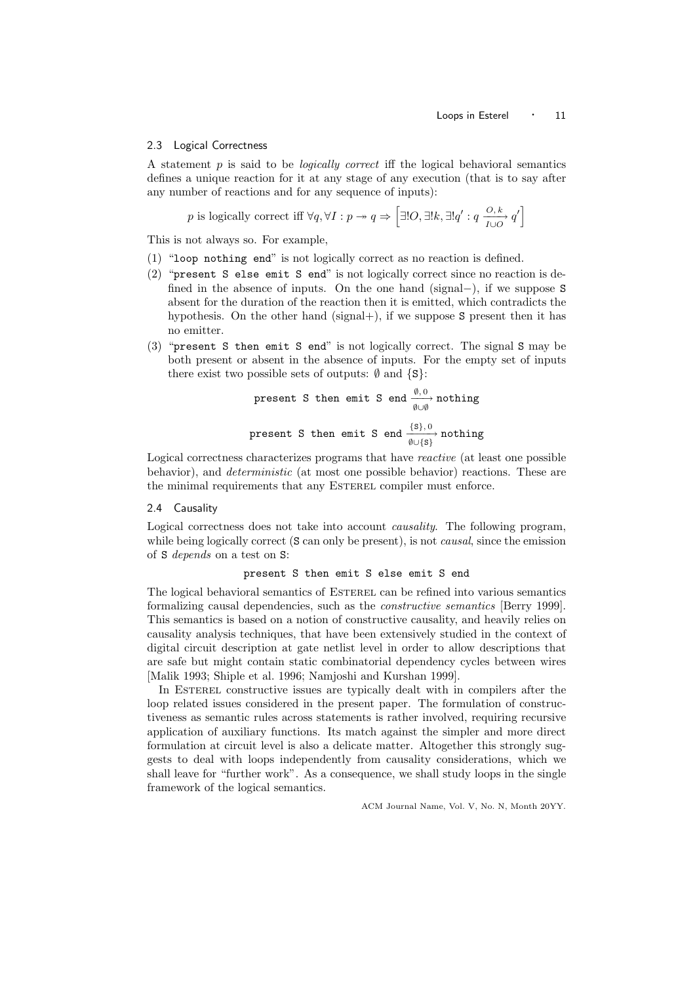## 2.3 Logical Correctness

A statement  $p$  is said to be *logically correct* iff the logical behavioral semantics defines a unique reaction for it at any stage of any execution (that is to say after any number of reactions and for any sequence of inputs):

$$
p \text{ is logically correct iff } \forall q, \forall I: p \twoheadrightarrow q \Rightarrow \Big[\exists ! O, \exists ! k, \exists ! q': q\stackrel{O, \, k}{\xrightarrow{I \cup O}} q' \Big]
$$

This is not always so. For example,

- (1) "loop nothing end" is not logically correct as no reaction is defined.
- (2) "present S else emit S end" is not logically correct since no reaction is defined in the absence of inputs. On the one hand (signal−), if we suppose S absent for the duration of the reaction then it is emitted, which contradicts the hypothesis. On the other hand (signal+), if we suppose S present then it has no emitter.
- (3) "present S then emit S end" is not logically correct. The signal S may be both present or absent in the absence of inputs. For the empty set of inputs there exist two possible sets of outputs:  $\emptyset$  and  $\{S\}$ :

present S then emit S end 
$$
\frac{\emptyset, 0}{\emptyset \cup \emptyset}
$$
 nothing  
present S then emit S end  $\frac{\{S\}, 0}{\emptyset \cup \{S\}}$  nothing

Logical correctness characterizes programs that have reactive (at least one possible behavior), and deterministic (at most one possible behavior) reactions. These are the minimal requirements that any ESTEREL compiler must enforce.

#### 2.4 Causality

Logical correctness does not take into account causality. The following program, while being logically correct (S can only be present), is not *causal*, since the emission of S depends on a test on S:

## present S then emit S else emit S end

The logical behavioral semantics of ESTEREL can be refined into various semantics formalizing causal dependencies, such as the constructive semantics [Berry 1999]. This semantics is based on a notion of constructive causality, and heavily relies on causality analysis techniques, that have been extensively studied in the context of digital circuit description at gate netlist level in order to allow descriptions that are safe but might contain static combinatorial dependency cycles between wires [Malik 1993; Shiple et al. 1996; Namjoshi and Kurshan 1999].

In ESTEREL constructive issues are typically dealt with in compilers after the loop related issues considered in the present paper. The formulation of constructiveness as semantic rules across statements is rather involved, requiring recursive application of auxiliary functions. Its match against the simpler and more direct formulation at circuit level is also a delicate matter. Altogether this strongly suggests to deal with loops independently from causality considerations, which we shall leave for "further work". As a consequence, we shall study loops in the single framework of the logical semantics.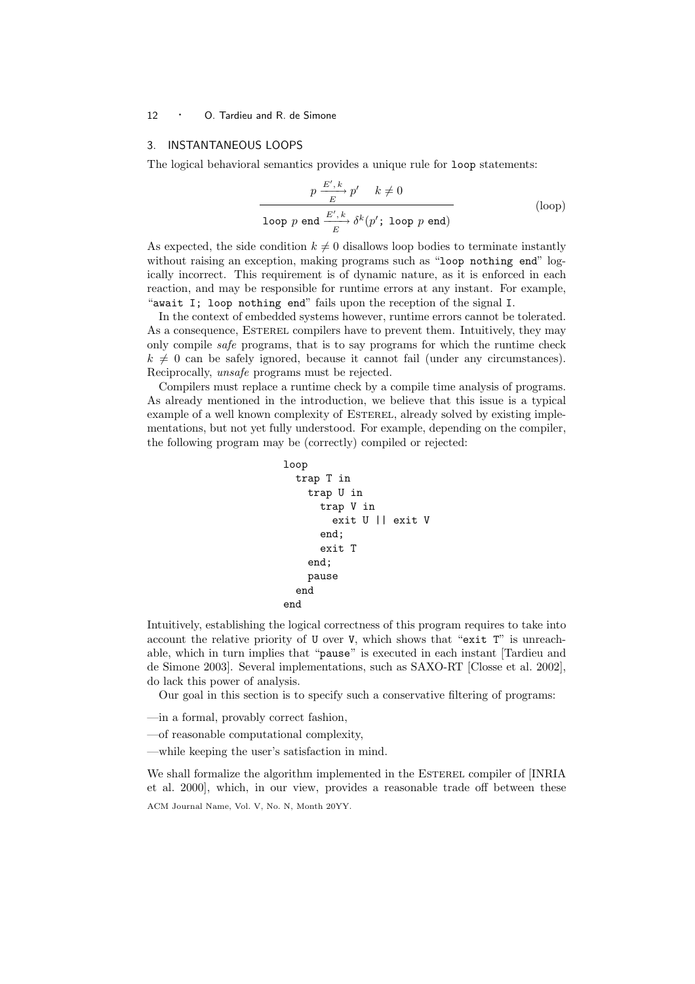## 3. INSTANTANEOUS LOOPS

The logical behavioral semantics provides a unique rule for loop statements:

$$
\frac{p \xrightarrow{E', k} p' \quad k \neq 0}{\text{loop } p \text{ end } \xrightarrow{E', k} \delta^k(p'; \text{ loop } p \text{ end})}
$$
 (loop)

As expected, the side condition  $k \neq 0$  disallows loop bodies to terminate instantly without raising an exception, making programs such as "loop nothing end" logically incorrect. This requirement is of dynamic nature, as it is enforced in each reaction, and may be responsible for runtime errors at any instant. For example, "await I; loop nothing end" fails upon the reception of the signal I.

In the context of embedded systems however, runtime errors cannot be tolerated. As a consequence, ESTEREL compilers have to prevent them. Intuitively, they may only compile safe programs, that is to say programs for which the runtime check  $k \neq 0$  can be safely ignored, because it cannot fail (under any circumstances). Reciprocally, unsafe programs must be rejected.

Compilers must replace a runtime check by a compile time analysis of programs. As already mentioned in the introduction, we believe that this issue is a typical example of a well known complexity of ESTEREL, already solved by existing implementations, but not yet fully understood. For example, depending on the compiler, the following program may be (correctly) compiled or rejected:

```
loop
  trap T in
    trap U in
      trap V in
        exit U || exit V
      end;
      exit T
    end;
    pause
  end
end
```
Intuitively, establishing the logical correctness of this program requires to take into account the relative priority of U over V, which shows that "exit T" is unreachable, which in turn implies that "pause" is executed in each instant [Tardieu and de Simone 2003]. Several implementations, such as SAXO-RT [Closse et al. 2002], do lack this power of analysis.

Our goal in this section is to specify such a conservative filtering of programs:

—in a formal, provably correct fashion,

—of reasonable computational complexity,

—while keeping the user's satisfaction in mind.

We shall formalize the algorithm implemented in the ESTEREL compiler of [INRIA] et al. 2000], which, in our view, provides a reasonable trade off between these ACM Journal Name, Vol. V, No. N, Month 20YY.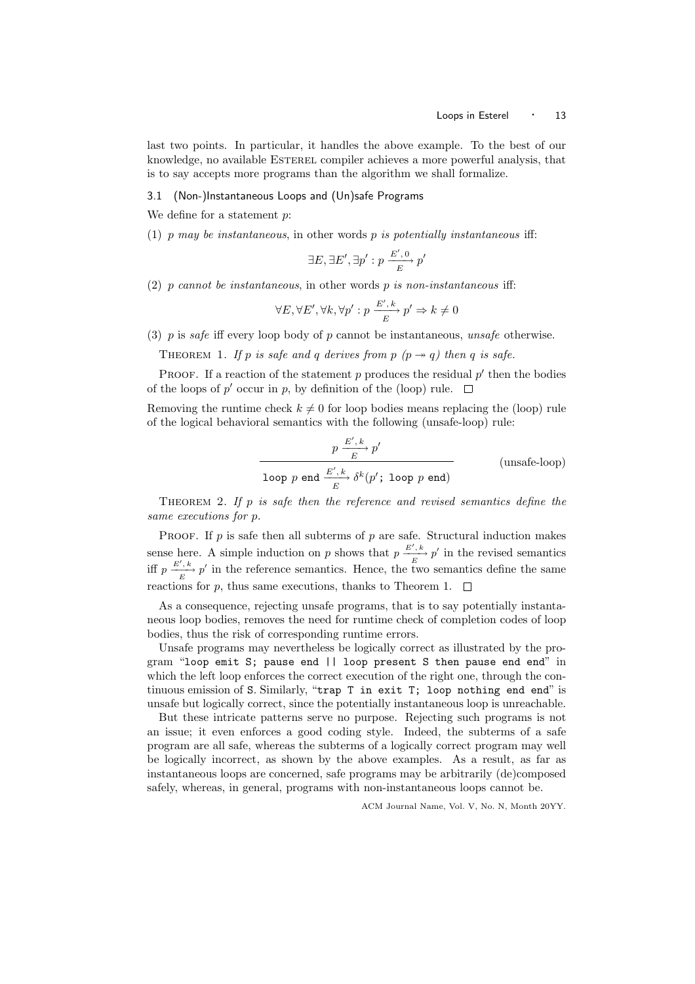last two points. In particular, it handles the above example. To the best of our knowledge, no available Esterel compiler achieves a more powerful analysis, that is to say accepts more programs than the algorithm we shall formalize.

#### 3.1 (Non-)Instantaneous Loops and (Un)safe Programs

We define for a statement  $p$ :

(1) p may be instantaneous, in other words p is potentially instantaneous iff:

$$
\exists E, \exists E', \exists p' : p \xrightarrow{E', 0} p'
$$

(2) p cannot be instantaneous, in other words p is non-instantaneous iff:

$$
\forall E, \forall E', \forall k, \forall p' : p \xrightarrow{E', k} p' \Rightarrow k \neq 0
$$

(3) p is safe iff every loop body of p cannot be instantaneous, unsafe otherwise.

THEOREM 1. If p is safe and q derives from p  $(p \rightarrow q)$  then q is safe.

PROOF. If a reaction of the statement  $p$  produces the residual  $p'$  then the bodies of the loops of  $p'$  occur in  $p$ , by definition of the (loop) rule.

Removing the runtime check  $k \neq 0$  for loop bodies means replacing the (loop) rule of the logical behavioral semantics with the following (unsafe-loop) rule:

$$
\frac{p\xrightarrow{E',k}p'}{p}
$$
\nloop  $p$  end  $\xrightarrow{E',k} \delta^k(p'; \text{loop } p \text{ end})$  (unsafe-loop)

THEOREM 2. If p is safe then the reference and revised semantics define the same executions for p.

**PROOF.** If  $p$  is safe then all subterms of  $p$  are safe. Structural induction makes sense here. A simple induction on p shows that  $p \frac{E', k}{E} p'$  in the revised semantics iff  $p \frac{E', k}{E} p'$  in the reference semantics. Hence, the two semantics define the same reactions for p, thus same executions, thanks to Theorem 1.  $\Box$ 

As a consequence, rejecting unsafe programs, that is to say potentially instantaneous loop bodies, removes the need for runtime check of completion codes of loop bodies, thus the risk of corresponding runtime errors.

Unsafe programs may nevertheless be logically correct as illustrated by the program "loop emit S; pause end || loop present S then pause end end" in which the left loop enforces the correct execution of the right one, through the continuous emission of S. Similarly, "trap T in exit T; loop nothing end end" is unsafe but logically correct, since the potentially instantaneous loop is unreachable.

But these intricate patterns serve no purpose. Rejecting such programs is not an issue; it even enforces a good coding style. Indeed, the subterms of a safe program are all safe, whereas the subterms of a logically correct program may well be logically incorrect, as shown by the above examples. As a result, as far as instantaneous loops are concerned, safe programs may be arbitrarily (de)composed safely, whereas, in general, programs with non-instantaneous loops cannot be.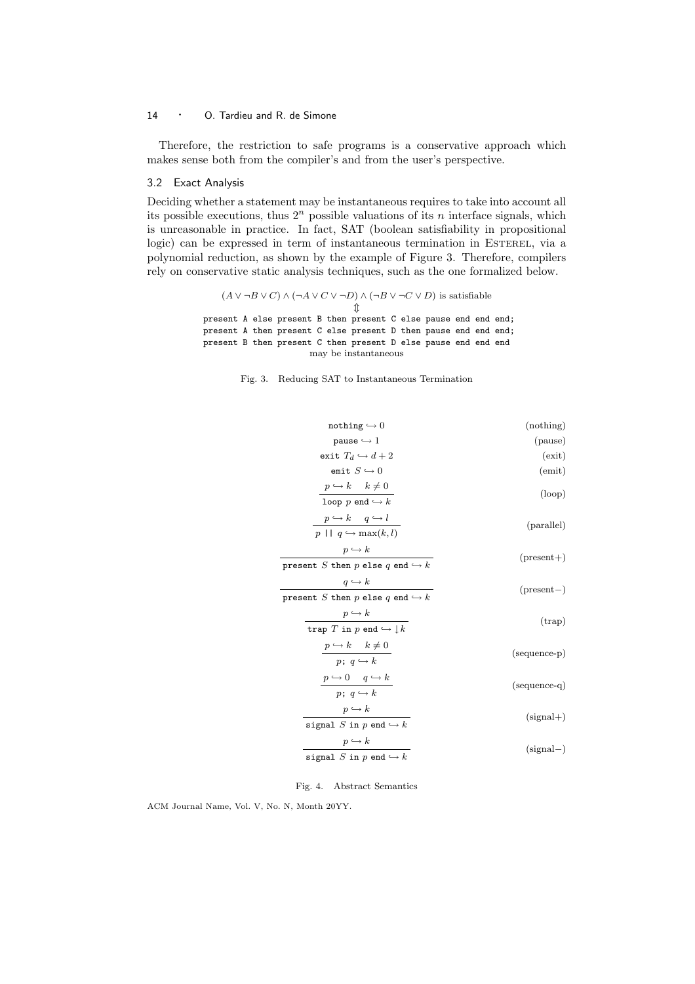Therefore, the restriction to safe programs is a conservative approach which makes sense both from the compiler's and from the user's perspective.

#### 3.2 Exact Analysis

Deciding whether a statement may be instantaneous requires to take into account all its possible executions, thus  $2^n$  possible valuations of its n interface signals, which is unreasonable in practice. In fact, SAT (boolean satisfiability in propositional logic) can be expressed in term of instantaneous termination in ESTEREL, via a polynomial reduction, as shown by the example of Figure 3. Therefore, compilers rely on conservative static analysis techniques, such as the one formalized below.

> $(A \vee \neg B \vee C) \wedge (\neg A \vee C \vee \neg D) \wedge (\neg B \vee \neg C \vee D)$  is satisfiable  $\textcolor{black}{\textcolor{black}{\textbf{0}}}$ present A else present B then present C else pause end end end; present A then present C else present D then pause end end end; present B then present C then present D else pause end end end may be instantaneous

Fig. 3. Reducing SAT to Instantaneous Termination

| nothing $\hookrightarrow 0$                           | (nothing)       |
|-------------------------------------------------------|-----------------|
| pause $\hookrightarrow$ 1                             | (pause)         |
| exit $T_d \hookrightarrow d+2$                        | (exit)          |
| emit $S \hookrightarrow 0$                            | (emit)          |
| $p \hookrightarrow k \quad k \neq 0$                  | $\text{(loop)}$ |
| loop p end $\hookrightarrow k$                        |                 |
| $p \hookrightarrow k \quad q \hookrightarrow l$       | (parallel)      |
| $p \mid \mid q \hookrightarrow \max(k, l)$            |                 |
| $p \hookrightarrow k$                                 | $(present+)$    |
| present $S$ then $p$ else $q$ end $\hookrightarrow k$ |                 |
| $q \hookrightarrow k$                                 | $(present-)$    |
| present $S$ then $p$ else $q$ end $\hookrightarrow k$ |                 |
| $p \hookrightarrow k$                                 | $(\text{trap})$ |
| trap T in p end $\hookrightarrow \downarrow k$        |                 |
| $p \hookrightarrow k \quad k \neq 0$                  | (sequence-p)    |
| $p: q \hookrightarrow k$                              |                 |
| $p\hookrightarrow 0 \hspace{.5cm} q\hookrightarrow k$ | $(sequence-q)$  |
| $p; q \hookrightarrow k$                              |                 |
| $p \hookrightarrow k$                                 | $(signal+)$     |
| signal S in p end $\hookrightarrow k$                 |                 |
| $p \hookrightarrow k$                                 | $(signal-)$     |
| signal S in p end $\hookrightarrow k$                 |                 |
|                                                       |                 |

## Fig. 4. Abstract Semantics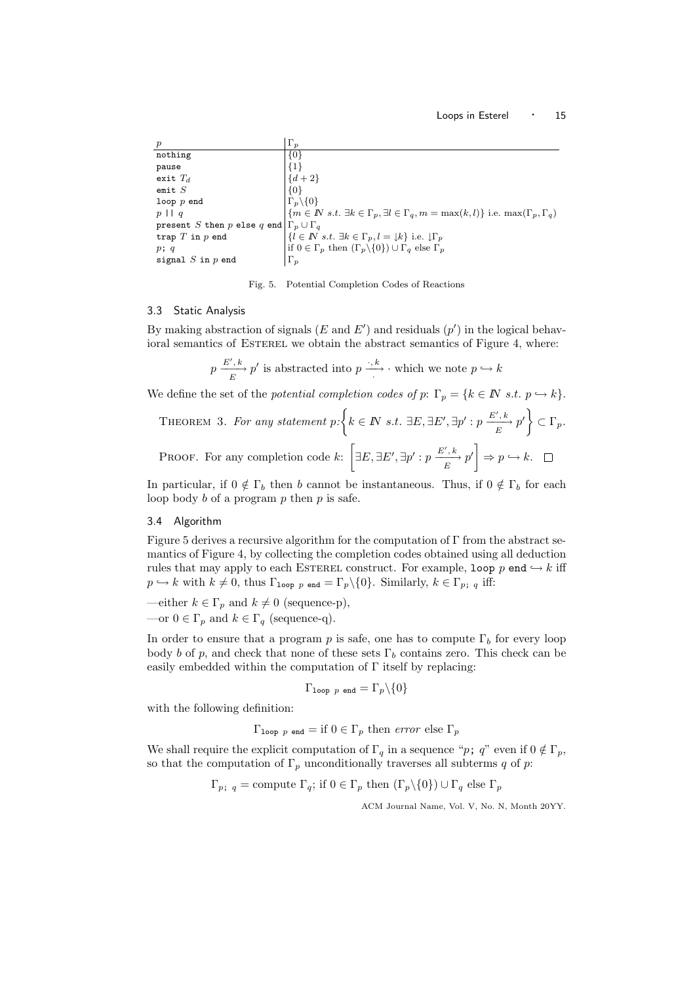| $\boldsymbol{p}$                                     | $\Gamma_p$                                                                                                                 |
|------------------------------------------------------|----------------------------------------------------------------------------------------------------------------------------|
| nothing                                              | ${0}$                                                                                                                      |
| pause                                                | ${1}$                                                                                                                      |
| exit $T_d$                                           | ${d+2}$                                                                                                                    |
| emit $S$                                             | {0}                                                                                                                        |
| loop $p$ end                                         | $\Gamma_n \backslash \{0\}$                                                                                                |
| $p \mid q$                                           | ${m \in \mathbb{N} \ s.t. \exists k \in \Gamma_p, \exists l \in \Gamma_q, m = \max(k, l)}$ i.e. $\max(\Gamma_p, \Gamma_q)$ |
| present S then p else q end $\Gamma_p \cup \Gamma_q$ |                                                                                                                            |
| trap $T$ in $p$ end                                  | $\{l \in I\!\!N \ s.t. \ \exists k \in \Gamma_p, l = \downarrow\!\!k\}$ i.e. $\downarrow\!\! \Gamma_p$                     |
| p; q                                                 | if $0 \in \Gamma_n$ then $(\Gamma_n \backslash \{0\}) \cup \Gamma_a$ else $\Gamma_n$                                       |
| signal $S$ in $p$ end                                | $\Gamma_p$                                                                                                                 |

Fig. 5. Potential Completion Codes of Reactions

#### 3.3 Static Analysis

By making abstraction of signals  $(E \text{ and } E')$  and residuals  $(p')$  in the logical behavioral semantics of ESTEREL we obtain the abstract semantics of Figure 4, where:

 $p \xrightarrow{E', k} p'$  is abstracted into  $p \xrightarrow{+, k} \cdot$  which we note  $p \hookrightarrow k$ 

We define the set of the potential completion codes of p:  $\Gamma_p = \{k \in \mathbb{N} \text{ s.t. } p \hookrightarrow k\}.$ 

THEOREM 3. For any statement 
$$
p: \left\{ k \in \mathbb{N} \text{ s.t. } \exists E, \exists E', \exists p' : p \xrightarrow{E', k} p' \right\} \subset \Gamma_p.
$$
  
PROOF. For any completion code  $k: \left[ \exists E, \exists E', \exists p' : p \xrightarrow{E', k} p' \right] \Rightarrow p \hookrightarrow k. \square$ 

In particular, if  $0 \notin \Gamma_b$  then b cannot be instantaneous. Thus, if  $0 \notin \Gamma_b$  for each loop body  $b$  of a program  $p$  then  $p$  is safe.

#### 3.4 Algorithm

Figure 5 derives a recursive algorithm for the computation of  $\Gamma$  from the abstract semantics of Figure 4, by collecting the completion codes obtained using all deduction rules that may apply to each ESTEREL construct. For example, loop p end  $\hookrightarrow k$  iff  $p \hookrightarrow k$  with  $k \neq 0$ , thus  $\Gamma_{\text{loop } p \text{ end}} = \Gamma_p \setminus \{0\}$ . Similarly,  $k \in \Gamma_p$ , q iff:

—either  $k \in \Gamma_p$  and  $k \neq 0$  (sequence-p), —or  $0 \in \Gamma_p$  and  $k \in \Gamma_q$  (sequence-q).

In order to ensure that a program p is safe, one has to compute  $\Gamma_b$  for every loop body b of p, and check that none of these sets  $\Gamma_b$  contains zero. This check can be easily embedded within the computation of  $\Gamma$  itself by replacing:

$$
\Gamma_{\texttt{loop} \, p \, \texttt{end}} = \Gamma_p \backslash \{0\}
$$

with the following definition:

$$
\Gamma_{\text{loop p end}} = \text{if } 0 \in \Gamma_p \text{ then error else } \Gamma_p
$$

We shall require the explicit computation of  $\Gamma_q$  in a sequence "p; q" even if  $0 \notin \Gamma_p$ , so that the computation of  $\Gamma_p$  unconditionally traverses all subterms q of p:

$$
\Gamma_p
$$
,  $q =$ compute  $\Gamma_q$ ; if  $0 \in \Gamma_p$  then  $(\Gamma_p \setminus \{0\}) \cup \Gamma_q$  else  $\Gamma_p$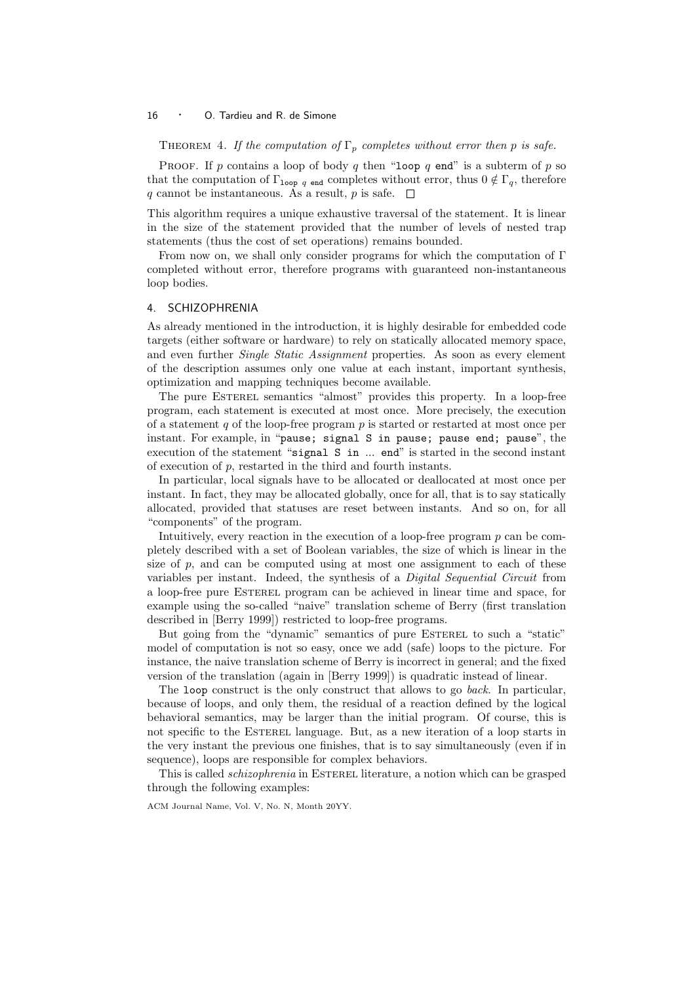THEOREM 4. If the computation of  $\Gamma_p$  completes without error then p is safe.

PROOF. If p contains a loop of body q then "loop q end" is a subterm of p so that the computation of  $\Gamma_{\text{loop q end}}$  completes without error, thus  $0 \notin \Gamma_q$ , therefore q cannot be instantaneous. As a result, p is safe.  $\square$ 

This algorithm requires a unique exhaustive traversal of the statement. It is linear in the size of the statement provided that the number of levels of nested trap statements (thus the cost of set operations) remains bounded.

From now on, we shall only consider programs for which the computation of  $\Gamma$ completed without error, therefore programs with guaranteed non-instantaneous loop bodies.

#### 4. SCHIZOPHRENIA

As already mentioned in the introduction, it is highly desirable for embedded code targets (either software or hardware) to rely on statically allocated memory space, and even further Single Static Assignment properties. As soon as every element of the description assumes only one value at each instant, important synthesis, optimization and mapping techniques become available.

The pure Esterel semantics "almost" provides this property. In a loop-free program, each statement is executed at most once. More precisely, the execution of a statement  $q$  of the loop-free program  $p$  is started or restarted at most once per instant. For example, in "pause; signal S in pause; pause end; pause", the execution of the statement "signal S in ... end" is started in the second instant of execution of p, restarted in the third and fourth instants.

In particular, local signals have to be allocated or deallocated at most once per instant. In fact, they may be allocated globally, once for all, that is to say statically allocated, provided that statuses are reset between instants. And so on, for all "components" of the program.

Intuitively, every reaction in the execution of a loop-free program  $p$  can be completely described with a set of Boolean variables, the size of which is linear in the size of  $p$ , and can be computed using at most one assignment to each of these variables per instant. Indeed, the synthesis of a Digital Sequential Circuit from a loop-free pure Esterel program can be achieved in linear time and space, for example using the so-called "naive" translation scheme of Berry (first translation described in [Berry 1999]) restricted to loop-free programs.

But going from the "dynamic" semantics of pure ESTEREL to such a "static" model of computation is not so easy, once we add (safe) loops to the picture. For instance, the naive translation scheme of Berry is incorrect in general; and the fixed version of the translation (again in [Berry 1999]) is quadratic instead of linear.

The loop construct is the only construct that allows to go back. In particular, because of loops, and only them, the residual of a reaction defined by the logical behavioral semantics, may be larger than the initial program. Of course, this is not specific to the ESTEREL language. But, as a new iteration of a loop starts in the very instant the previous one finishes, that is to say simultaneously (even if in sequence), loops are responsible for complex behaviors.

This is called *schizophrenia* in ESTEREL literature, a notion which can be grasped through the following examples: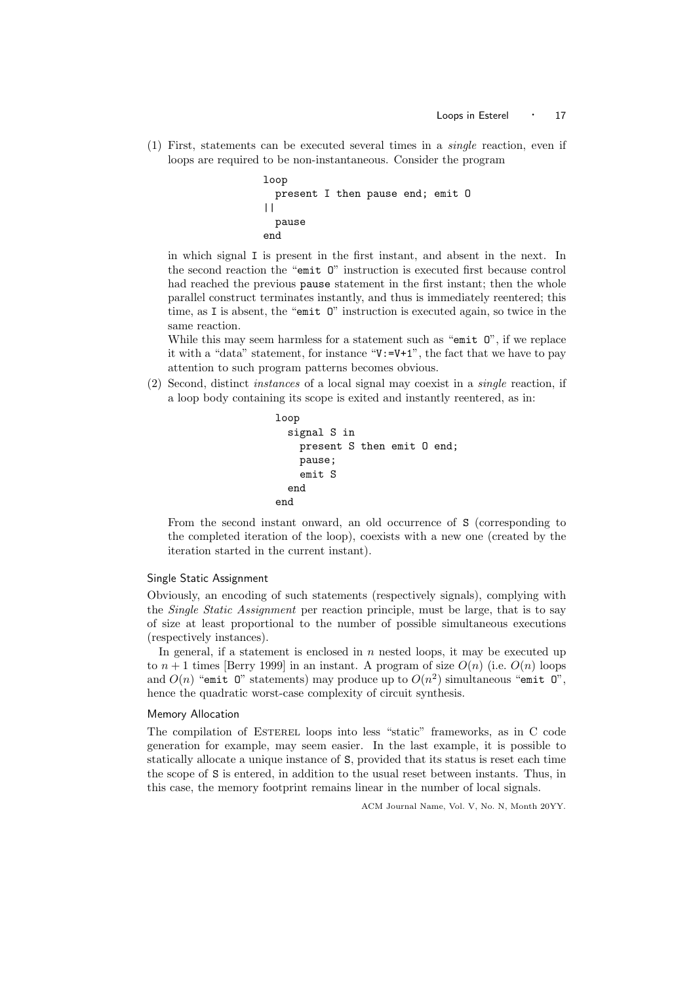(1) First, statements can be executed several times in a single reaction, even if loops are required to be non-instantaneous. Consider the program

```
loop
 present I then pause end; emit O
||pause
end
```
in which signal I is present in the first instant, and absent in the next. In the second reaction the "emit O" instruction is executed first because control had reached the previous pause statement in the first instant; then the whole parallel construct terminates instantly, and thus is immediately reentered; this time, as I is absent, the "emit O" instruction is executed again, so twice in the same reaction.

While this may seem harmless for a statement such as "emit 0", if we replace it with a "data" statement, for instance "V:=V+1", the fact that we have to pay attention to such program patterns becomes obvious.

(2) Second, distinct instances of a local signal may coexist in a single reaction, if a loop body containing its scope is exited and instantly reentered, as in:

```
loop
  signal S in
    present S then emit O end;
    pause;
    emit S
  end
end
```
From the second instant onward, an old occurrence of S (corresponding to the completed iteration of the loop), coexists with a new one (created by the iteration started in the current instant).

#### Single Static Assignment

Obviously, an encoding of such statements (respectively signals), complying with the Single Static Assignment per reaction principle, must be large, that is to say of size at least proportional to the number of possible simultaneous executions (respectively instances).

In general, if a statement is enclosed in  $n$  nested loops, it may be executed up to  $n+1$  times [Berry 1999] in an instant. A program of size  $O(n)$  (i.e.  $O(n)$  loops and  $O(n)$  "emit 0" statements) may produce up to  $O(n^2)$  simultaneous "emit 0", hence the quadratic worst-case complexity of circuit synthesis.

# Memory Allocation

The compilation of Esterel loops into less "static" frameworks, as in C code generation for example, may seem easier. In the last example, it is possible to statically allocate a unique instance of S, provided that its status is reset each time the scope of S is entered, in addition to the usual reset between instants. Thus, in this case, the memory footprint remains linear in the number of local signals.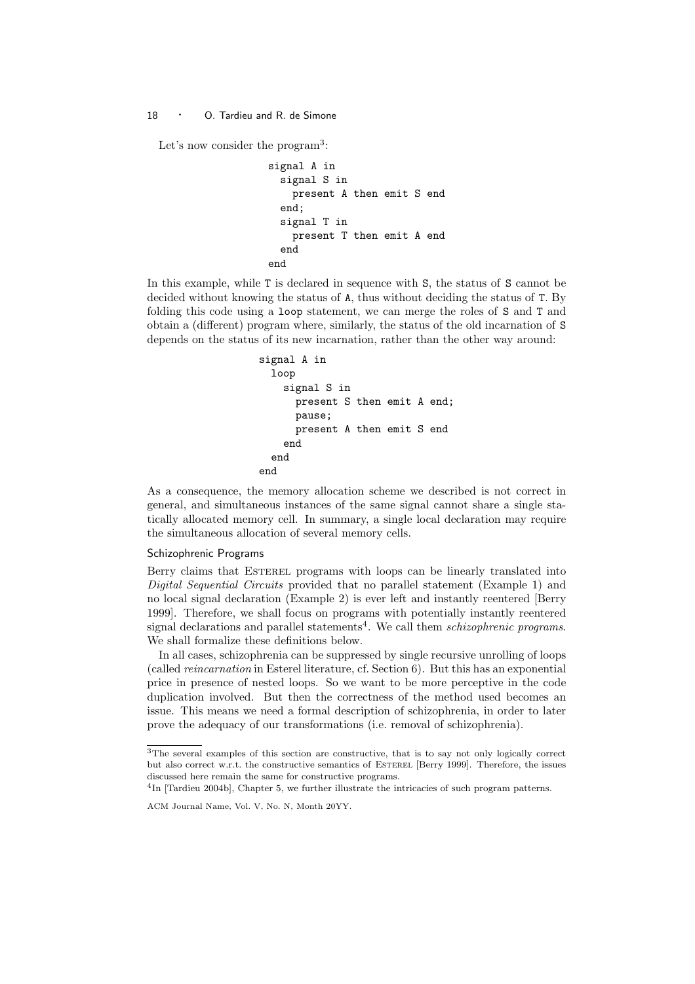Let's now consider the program<sup>3</sup>:

```
signal A in
  signal S in
    present A then emit S end
  end;
  signal T in
    present T then emit A end
  end
end
```
In this example, while T is declared in sequence with S, the status of S cannot be decided without knowing the status of A, thus without deciding the status of T. By folding this code using a loop statement, we can merge the roles of S and T and obtain a (different) program where, similarly, the status of the old incarnation of S depends on the status of its new incarnation, rather than the other way around:

```
signal A in
  loop
    signal S in
      present S then emit A end;
      pause;
      present A then emit S end
    end
  end
end
```
As a consequence, the memory allocation scheme we described is not correct in general, and simultaneous instances of the same signal cannot share a single statically allocated memory cell. In summary, a single local declaration may require the simultaneous allocation of several memory cells.

#### Schizophrenic Programs

Berry claims that ESTEREL programs with loops can be linearly translated into Digital Sequential Circuits provided that no parallel statement (Example 1) and no local signal declaration (Example 2) is ever left and instantly reentered [Berry 1999]. Therefore, we shall focus on programs with potentially instantly reentered signal declarations and parallel statements<sup>4</sup>. We call them *schizophrenic programs*. We shall formalize these definitions below.

In all cases, schizophrenia can be suppressed by single recursive unrolling of loops (called reincarnation in Esterel literature, cf. Section 6). But this has an exponential price in presence of nested loops. So we want to be more perceptive in the code duplication involved. But then the correctness of the method used becomes an issue. This means we need a formal description of schizophrenia, in order to later prove the adequacy of our transformations (i.e. removal of schizophrenia).

<sup>3</sup>The several examples of this section are constructive, that is to say not only logically correct but also correct w.r.t. the constructive semantics of ESTEREL [Berry 1999]. Therefore, the issues discussed here remain the same for constructive programs.

<sup>&</sup>lt;sup>4</sup>In [Tardieu 2004b], Chapter 5, we further illustrate the intricacies of such program patterns.

ACM Journal Name, Vol. V, No. N, Month 20YY.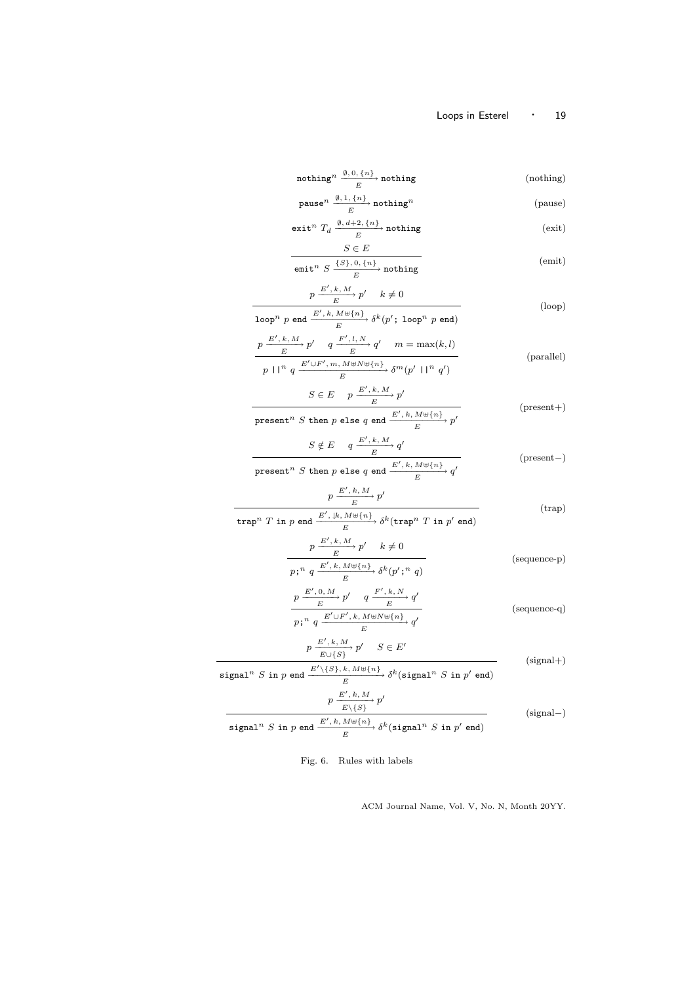$$
\operatorname{nothing}^n \xrightarrow{\emptyset, 0, \{n\}} \operatorname{nothing} \qquad \qquad \text{(nothing)}
$$
\n
$$
\xrightarrow{\emptyset, 1, \{n\}} \qquad \qquad \text{(nothing)}
$$

$$
\text{pause}^n \xrightarrow{v, 1, \{n\}} \text{nothing}^n \tag{pause}
$$
\n
$$
E \qquad (pause)
$$

$$
\begin{aligned}\n\text{exit}^n \ T_d \xrightarrow{0, \ d+2, \{n\}} \text{nothing} \\
E\n\end{aligned} \n\text{nothing} \n\tag{exit}
$$
\n
$$
S \in E
$$

$$
\overline{\text{emit}^n S \xrightarrow{S \setminus 0, \{n\}} \text{nothing}}
$$
 (emit)

$$
p \xrightarrow{E', k, M} p' \qquad k \neq 0
$$
  
\n
$$
E', k, M \oplus \{n\} \qquad k \neq 0
$$
  
\n
$$
(loop)
$$

loop<sup>n</sup> p end 
$$
\frac{E', k, M \oplus \{n\}}{E}
$$
  $\delta^k(p'; \text{loop}^n p \text{ end})$ 

$$
\frac{p \xrightarrow{E', k, M} p' \qquad q \xrightarrow{F', l, N} q' \qquad m = \max(k, l)}{p \mid \mid^{n} q \xrightarrow{E' \cup F', m, M \oplus N \oplus \{n\}} \delta^{m}(p' \mid \mid^{n} q')}
$$
 (parallel)

$$
\cfrac{S\in E \quad p\xrightarrow{E',\,k,\,M} p'}{E} p' \qquad \qquad \mbox{(present+)}\\ \text{present}^n \ S \ \text{then} \ p \ \text{else} \ q \ \text{end} \xrightarrow{E',\,k,\,M\uplus \{n\}} p' \qquad \qquad \mbox{(present+)}
$$

$$
S \notin E \quad q \xrightarrow{E', k, M} q'
$$
 (present-)

present<sup>n</sup> S then p else q end 
$$
\xrightarrow{E}
$$
,  $\xrightarrow{R} R$  or  $\xrightarrow{R} q'$ 

$$
\cfrac{p\xrightarrow{E',k,M}p'}{\cfrac{E}{\cfrac{E',\mu,\,M\uplus\{n\}}{E},\,\delta^k(\text{trap}^n\ T\text{ in }p'\text{ end})}}\qquad\qquad(\text{trap})
$$

$$
\frac{p \xrightarrow{E', k, M} p'}{E} p' \qquad k \neq 0
$$
  
\n
$$
p; \qquad q \xrightarrow{E', k, M \uplus \{n\}} \delta^k(p'; \qquad q)
$$
 (sequence-p)  
\n
$$
F' \circ M \qquad F' \circ N
$$

$$
\frac{p \xrightarrow{E', 0, M} p' \qquad q \xrightarrow{F', k, N} q'}{p; ^n q \xrightarrow{E' \cup F', k, M \oplus N \oplus \{n\}} q'}
$$
 (sequence-q)

$$
\frac{p \frac{E', k, M}{E \cup \{S\}} p' \quad S \in E'}{\text{signal}^n S \text{ in } p \text{ end}} \frac{p \frac{E' \setminus \{S\}, k, M \cup \{n\}}{E} \delta^k(\text{signal}^n S \text{ in } p' \text{ end})}{p \frac{E', k, M}{E \setminus \{S\}} p'}
$$
\n(signal+)

$$
\frac{F_{E\backslash\{S\}}}{\text{signal}^n S \text{ in } p \text{ end}} \xrightarrow{E', k, M \uplus \{n\}} \delta^k(\text{signal}^n S \text{ in } p' \text{ end})
$$
 (signal-)

Fig. 6. Rules with labels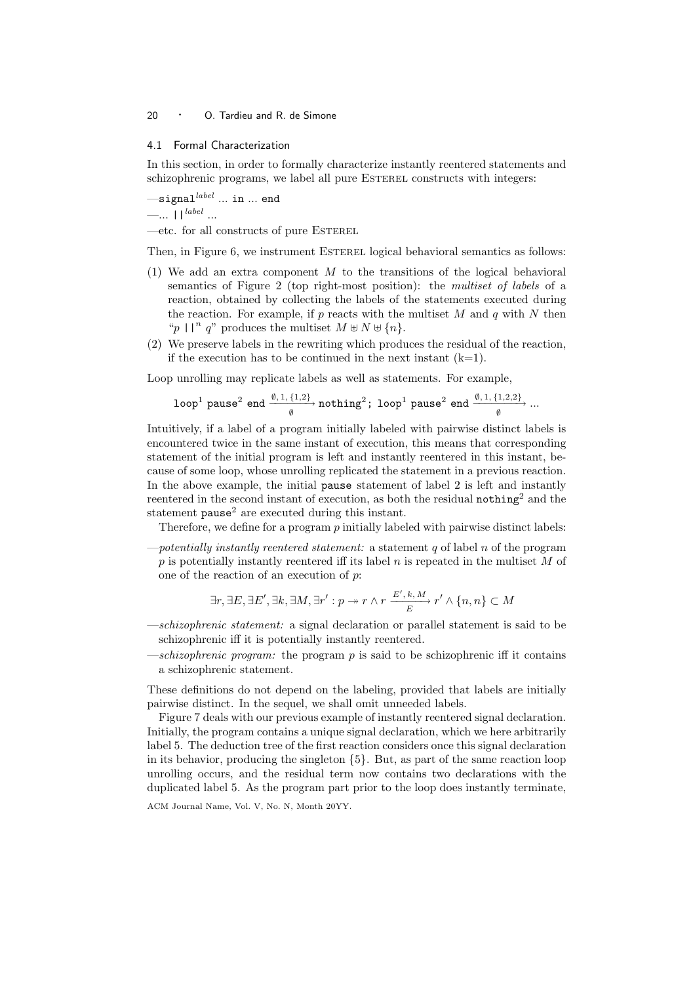#### 4.1 Formal Characterization

In this section, in order to formally characterize instantly reentered statements and schizophrenic programs, we label all pure ESTEREL constructs with integers:

 $-\text{\tt signal}^{\mathit label}$  ... in ... end

 $-\dots$  ||<sup>label</sup> ...

—etc. for all constructs of pure Esterel

Then, in Figure 6, we instrument ESTEREL logical behavioral semantics as follows:

- (1) We add an extra component M to the transitions of the logical behavioral semantics of Figure 2 (top right-most position): the multiset of labels of a reaction, obtained by collecting the labels of the statements executed during the reaction. For example, if p reacts with the multiset M and q with N then "p ||<sup>n</sup> q" produces the multiset  $M \oplus N \oplus \{n\}.$
- (2) We preserve labels in the rewriting which produces the residual of the reaction, if the execution has to be continued in the next instant  $(k=1)$ .

Loop unrolling may replicate labels as well as statements. For example,

loop<sup>1</sup> pause<sup>2</sup> end 
$$
\frac{\emptyset, 1, \{1,2\}}{\emptyset}
$$
 nothing<sup>2</sup>; loop<sup>1</sup> pause<sup>2</sup> end  $\frac{\emptyset, 1, \{1,2,2\}}{\emptyset}$  ...

Intuitively, if a label of a program initially labeled with pairwise distinct labels is encountered twice in the same instant of execution, this means that corresponding statement of the initial program is left and instantly reentered in this instant, because of some loop, whose unrolling replicated the statement in a previous reaction. In the above example, the initial pause statement of label 2 is left and instantly reentered in the second instant of execution, as both the residual nothing<sup>2</sup> and the statement  $_{\text{pause}^2}$  are executed during this instant.

Therefore, we define for a program  $p$  initially labeled with pairwise distinct labels:

—*potentially instantly reentered statement:* a statement q of label  $n$  of the program  $p$  is potentially instantly reentered iff its label  $n$  is repeated in the multiset  $M$  of one of the reaction of an execution of p:

$$
\exists r, \exists E, \exists E', \exists k, \exists M, \exists r': p \rightarrow r \land r \xrightarrow{E', k, M} r' \land \{n, n\} \subset M
$$

- —schizophrenic statement: a signal declaration or parallel statement is said to be schizophrenic iff it is potentially instantly reentered.
- *schizophrenic program:* the program p is said to be schizophrenic iff it contains a schizophrenic statement.

These definitions do not depend on the labeling, provided that labels are initially pairwise distinct. In the sequel, we shall omit unneeded labels.

Figure 7 deals with our previous example of instantly reentered signal declaration. Initially, the program contains a unique signal declaration, which we here arbitrarily label 5. The deduction tree of the first reaction considers once this signal declaration in its behavior, producing the singleton {5}. But, as part of the same reaction loop unrolling occurs, and the residual term now contains two declarations with the duplicated label 5. As the program part prior to the loop does instantly terminate,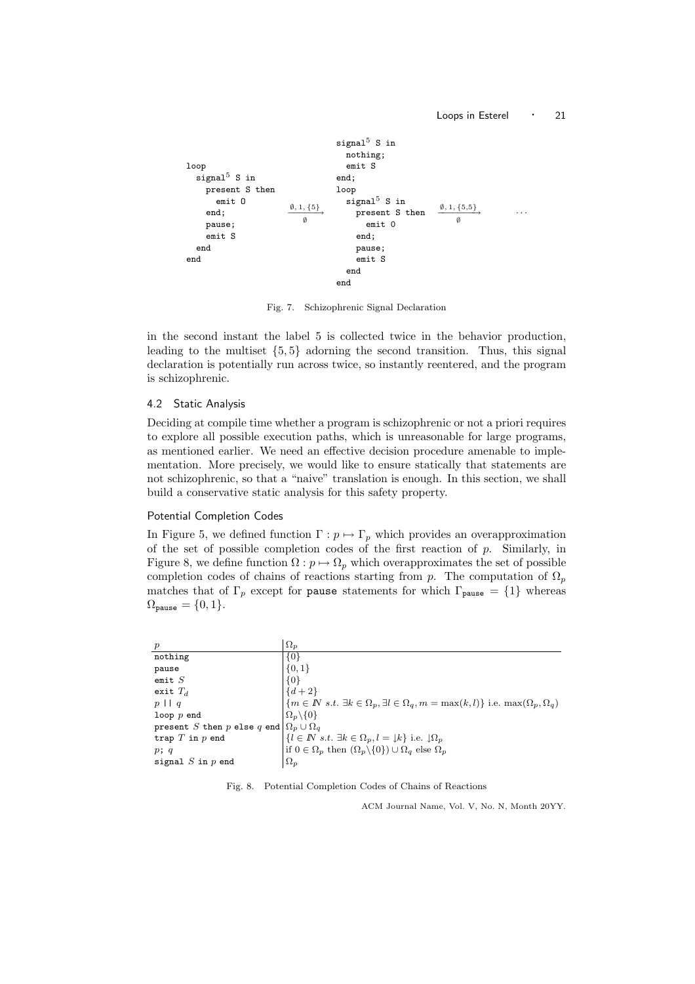```
loop
   signal<sup>5</sup> S in
      present S then
         emit O
      end;
      pause;
      emit S
   end
end
                                \emptyset, 1, {5}
                               \frac{\cdots}{\phi}signal^{5} S in
                                                 nothing;
                                                 emit S
                                              end;
                                              loop
                                                 signal<sup>5</sup> S in
                                                    present S then
                                                       emit 0
                                                     end;
                                                    pause;
                                                    emit S
                                                 end
                                              end
                                                                              \frac{\emptyset, 1, \{5,5\}}{\emptyset}· · ·
```
Fig. 7. Schizophrenic Signal Declaration

in the second instant the label 5 is collected twice in the behavior production, leading to the multiset  $\{5, 5\}$  adorning the second transition. Thus, this signal declaration is potentially run across twice, so instantly reentered, and the program is schizophrenic.

# 4.2 Static Analysis

Deciding at compile time whether a program is schizophrenic or not a priori requires to explore all possible execution paths, which is unreasonable for large programs, as mentioned earlier. We need an effective decision procedure amenable to implementation. More precisely, we would like to ensure statically that statements are not schizophrenic, so that a "naive" translation is enough. In this section, we shall build a conservative static analysis for this safety property.

## Potential Completion Codes

In Figure 5, we defined function  $\Gamma : p \mapsto \Gamma_p$  which provides an overapproximation of the set of possible completion codes of the first reaction of  $p$ . Similarly, in Figure 8, we define function  $\Omega : p \mapsto \Omega_p$  which overapproximates the set of possible completion codes of chains of reactions starting from p. The computation of  $\Omega_p$ matches that of  $\Gamma_p$  except for pause statements for which  $\Gamma_{\text{pause}} = \{1\}$  whereas  $\Omega_{\text{parse}} = \{0, 1\}.$ 

| $\boldsymbol{p}$                                     | $\Omega_n$                                                                                                                                                                                                                      |
|------------------------------------------------------|---------------------------------------------------------------------------------------------------------------------------------------------------------------------------------------------------------------------------------|
| nothing                                              | ${0}$                                                                                                                                                                                                                           |
| pause                                                | $\{0,1\}$                                                                                                                                                                                                                       |
| emit $S$                                             | ${0}$                                                                                                                                                                                                                           |
| exit $T_d$                                           | $\{d+2\}$                                                                                                                                                                                                                       |
| $p \mid q$                                           | ${m \in \mathbb{N} s.t. \exists k \in \Omega_p, \exists l \in \Omega_q, m = \max(k, l)}$ i.e. $\max(\Omega_p, \Omega_q)$                                                                                                        |
| loop $p$ end                                         | $\Omega_p \backslash \{0\}$                                                                                                                                                                                                     |
| present S then p else q end $\Omega_p \cup \Omega_q$ |                                                                                                                                                                                                                                 |
| trap $T$ in $p$ end                                  | $\left\{l \in \mathbb{N} \text{ s.t. } \exists k \in \Omega_p, l = \downarrow k\right\} \text{ i.e. } \downarrow \Omega_p$<br>if $0 \in \Omega_p \text{ then } (\Omega_p \setminus \{0\}) \cup \Omega_q \text{ else } \Omega_p$ |
| p; q                                                 |                                                                                                                                                                                                                                 |
| signal $S$ in $p$ end                                | $\Omega_p$                                                                                                                                                                                                                      |

Fig. 8. Potential Completion Codes of Chains of Reactions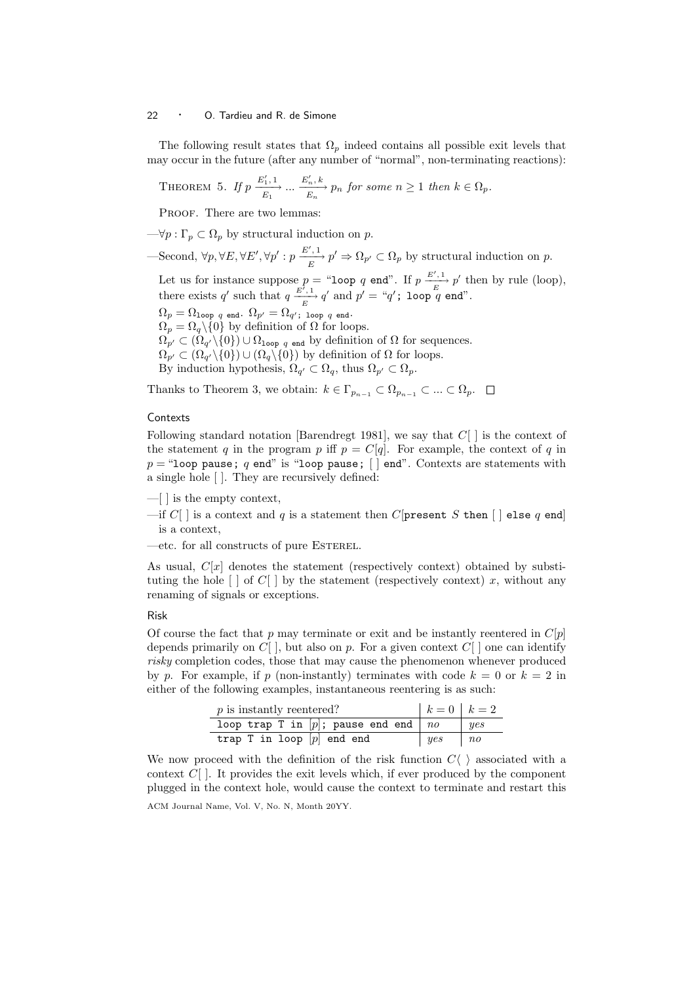The following result states that  $\Omega_p$  indeed contains all possible exit levels that may occur in the future (after any number of "normal", non-terminating reactions):

THEOREM 5. If 
$$
p \xrightarrow[E'_1, 1]{E'_1, 1}
$$
 ...  $\xrightarrow[E_n, k]{E'_n, k}$  *for some*  $n \ge 1$  *then*  $k \in \Omega_p$ .

PROOF. There are two lemmas:

 $-\forall p:\Gamma_p\subset\Omega_p$  by structural induction on p.

—Second,  $\forall p, \forall E, \forall E', \forall p' : p \xrightarrow{E', 1} p' \Rightarrow \Omega_{p'} \subset \Omega_p$  by structural induction on p. Let us for instance suppose  $p =$  "loop q end". If  $p \frac{E', 1}{E} p'$  then by rule (loop), there exists q' such that  $q \frac{E^{\prime}, 1}{E}$  q' and  $p' = \sqrt[q]{q}$ ; loop q end".  $\Omega_p=\Omega_{\texttt{loop} \enskip q \enskip \texttt{end}}.$   $\Omega_{p'}=\Omega_{q'};$  loop  $q$  end.  $\Omega_p = \Omega_q \backslash \{0\}$  by definition of  $\Omega$  for loops.  $\Omega_{p'} \subset (\Omega_{q'} \backslash \{0\}) \cup \Omega_{\text{loop } q \text{ end}}$  by definition of  $\Omega$  for sequences.  $\Omega_{p'} \subset (\Omega_{q'} \backslash \{0\}) \cup (\Omega_{q} \backslash \{0\})$  by definition of  $\Omega$  for loops.

By induction hypothesis,  $\Omega_{q'} \subset \Omega_q$ , thus  $\Omega_{p'} \subset \Omega_p$ .

Thanks to Theorem 3, we obtain:  $k \in \Gamma_{p_{n-1}} \subset \Omega_{p_{n-1}} \subset \ldots \subset \Omega_p$ .  $\square$ 

## **Contexts**

Following standard notation [Barendregt 1981], we say that  $C[\ ]$  is the context of the statement q in the program p iff  $p = C[q]$ . For example, the context of q in  $p =$ "loop pause; q end" is "loop pause;  $\lceil \cdot \rceil$  end". Contexts are statements with a single hole [ ]. They are recursively defined:

 $-$ [] is the empty context,

—if C[] is a context and q is a statement then C[present S then [] else q end] is a context,

—etc. for all constructs of pure Esterel.

As usual,  $C[x]$  denotes the statement (respectively context) obtained by substituting the hole  $\lceil \cdot \rceil$  of  $C \rceil$  by the statement (respectively context) x, without any renaming of signals or exceptions.

Risk

Of course the fact that  $p$  may terminate or exit and be instantly reentered in  $C[p]$ depends primarily on  $C[\ ]$ , but also on p. For a given context  $C[\ ]$  one can identify risky completion codes, those that may cause the phenomenon whenever produced by p. For example, if p (non-instantly) terminates with code  $k = 0$  or  $k = 2$  in either of the following examples, instantaneous reentering is as such:

| $p$ is instantly reentered?                | $k=0$ $k=2$ |         |
|--------------------------------------------|-------------|---------|
| loop trap T in $[p]$ ; pause end end $ no$ |             | $ $ yes |
| trap T in loop $[p]$ end end               | $ $ yes     | n       |

We now proceed with the definition of the risk function  $C(\ )$  associated with a context  $C[\ ]$ . It provides the exit levels which, if ever produced by the component plugged in the context hole, would cause the context to terminate and restart this ACM Journal Name, Vol. V, No. N, Month 20YY.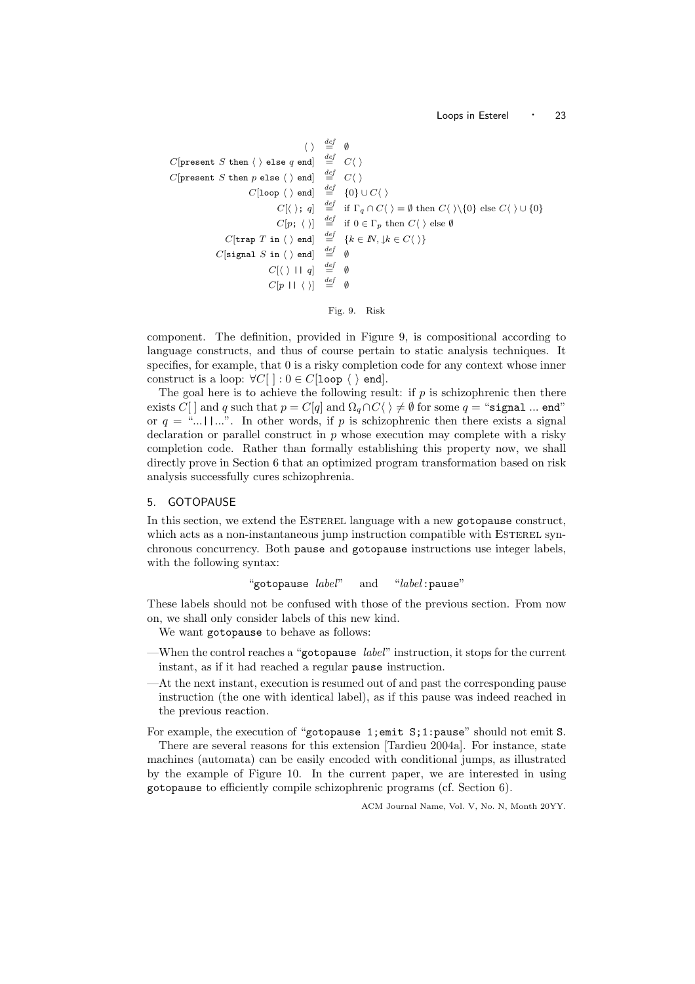$$
\langle \rangle \quad \stackrel{\text{def}}{=} \emptyset
$$
\n
$$
C[\text{present } S \text{ then } \langle \rangle \text{ else } q \text{ end}] \quad \stackrel{\text{def}}{=} \quad C \langle \rangle
$$
\n
$$
C[\text{present } S \text{ then } p \text{ else } \langle \rangle \text{ end}] \quad \stackrel{\text{def}}{=} \quad C \langle \rangle
$$
\n
$$
C[\text{loop } \langle \rangle \text{ end}] \quad \stackrel{\text{def}}{=} \quad \{0\} \cup C \langle \rangle
$$
\n
$$
C[\langle \rangle; q] \quad \stackrel{\text{def}}{=} \quad \text{if } \Gamma_q \cap C \langle \rangle = \emptyset \text{ then } C \langle \rangle \setminus \{0\} \text{ else } C \langle \rangle \cup \{0\}
$$
\n
$$
C[p; \langle \rangle] \quad \stackrel{\text{def}}{=} \quad \text{if } 0 \in \Gamma_p \text{ then } C \langle \rangle \text{ else } \emptyset
$$
\n
$$
C[\text{trap } T \text{ in } \langle \rangle \text{ end}] \quad \stackrel{\text{def}}{=} \quad \{k \in \mathbb{N}, \, \downarrow k \in C \langle \rangle\}
$$
\n
$$
C[\text{signal } S \text{ in } \langle \rangle \text{ end}] \quad \stackrel{\text{def}}{=} \emptyset
$$
\n
$$
C[\langle \rangle \mid 1 \mid q] \quad \stackrel{\text{def}}{=} \emptyset
$$
\n
$$
C[p \mid 1 \langle \rangle] \quad \stackrel{\text{def}}{=} \emptyset
$$

Fig. 9. Risk

component. The definition, provided in Figure 9, is compositional according to language constructs, and thus of course pertain to static analysis techniques. It specifies, for example, that 0 is a risky completion code for any context whose inner construct is a loop:  $\forall C \mid : 0 \in C$ [loop  $\langle \ \rangle$  end].

The goal here is to achieve the following result: if  $p$  is schizophrenic then there exists  $C[ ]$  and q such that  $p = C[q]$  and  $\Omega_q \cap C \langle \ \rangle \neq \emptyset$  for some  $q =$  "signal ... end" or  $q =$  "....||...". In other words, if p is schizophrenic then there exists a signal declaration or parallel construct in  $p$  whose execution may complete with a risky completion code. Rather than formally establishing this property now, we shall directly prove in Section 6 that an optimized program transformation based on risk analysis successfully cures schizophrenia.

## 5. GOTOPAUSE

In this section, we extend the ESTEREL language with a new gotopause construct, which acts as a non-instantaneous jump instruction compatible with ESTEREL synchronous concurrency. Both pause and gotopause instructions use integer labels, with the following syntax:

"gotopause  $label$ " and " $label$ : pause"

These labels should not be confused with those of the previous section. From now on, we shall only consider labels of this new kind.

We want gotopause to behave as follows:

- —When the control reaches a "gotopause  $label"$ " instruction, it stops for the current instant, as if it had reached a regular pause instruction.
- —At the next instant, execution is resumed out of and past the corresponding pause instruction (the one with identical label), as if this pause was indeed reached in the previous reaction.

For example, the execution of "gotopause 1;emit S;1:pause" should not emit S.

There are several reasons for this extension [Tardieu 2004a]. For instance, state machines (automata) can be easily encoded with conditional jumps, as illustrated by the example of Figure 10. In the current paper, we are interested in using gotopause to efficiently compile schizophrenic programs (cf. Section 6).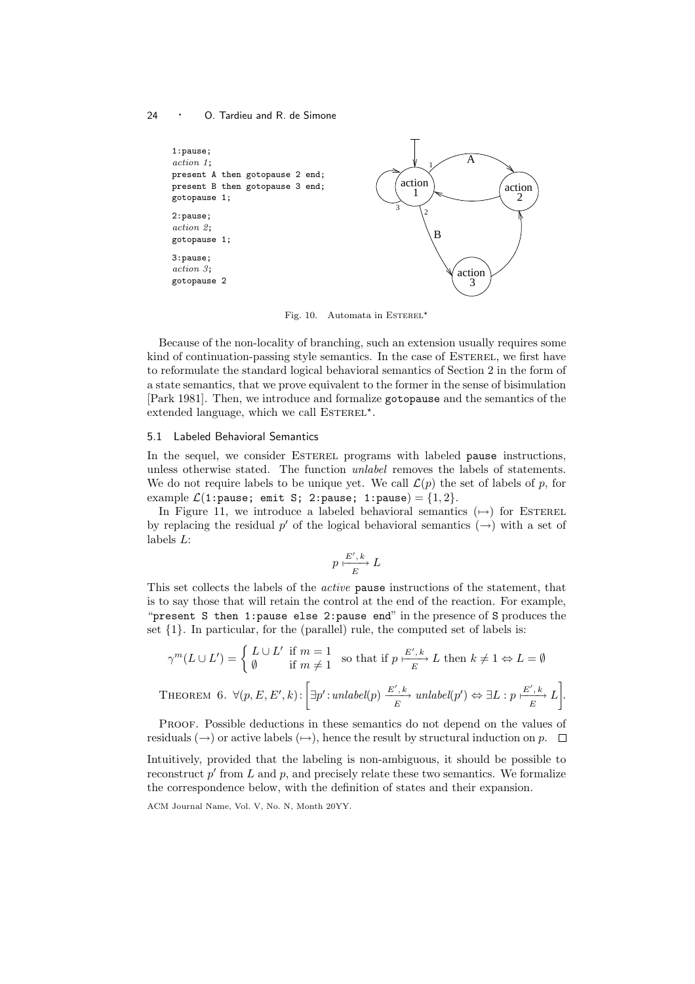

Fig. 10. Automata in ESTEREL<sup>\*</sup>

Because of the non-locality of branching, such an extension usually requires some kind of continuation-passing style semantics. In the case of ESTEREL, we first have to reformulate the standard logical behavioral semantics of Section 2 in the form of a state semantics, that we prove equivalent to the former in the sense of bisimulation [Park 1981]. Then, we introduce and formalize gotopause and the semantics of the extended language, which we call  $ESTEREL^*$ .

#### 5.1 Labeled Behavioral Semantics

In the sequel, we consider ESTEREL programs with labeled pause instructions, unless otherwise stated. The function unlabel removes the labels of statements. We do not require labels to be unique yet. We call  $\mathcal{L}(p)$  the set of labels of p, for example  $\mathcal{L}(1: \text{parse}; \text{ emit } S; 2: \text{parse}; 1: \text{parse}) = \{1, 2\}.$ 

In Figure 11, we introduce a labeled behavioral semantics  $(\rightarrow)$  for ESTEREL by replacing the residual  $p'$  of the logical behavioral semantics  $(\rightarrow)$  with a set of labels L:

$$
p \xrightarrow{E', k} L
$$

This set collects the labels of the active pause instructions of the statement, that is to say those that will retain the control at the end of the reaction. For example, "present S then 1:pause else 2:pause end" in the presence of S produces the set {1}. In particular, for the (parallel) rule, the computed set of labels is:

$$
\gamma^m(L \cup L') = \begin{cases} L \cup L' & \text{if } m = 1 \\ \emptyset & \text{if } m \neq 1 \end{cases} \text{ so that if } p \xrightarrow{E', k} L \text{ then } k \neq 1 \Leftrightarrow L = \emptyset
$$
  
THEOREM 6.  $\forall (p, E, E', k) : \left[ \exists p' : unlabel(p) \xrightarrow{E', k} unlabel(p') \Leftrightarrow \exists L : p \xrightarrow{E', k} L \right].$ 

Proof. Possible deductions in these semantics do not depend on the values of residuals ( $\rightarrow$ ) or active labels ( $\rightarrow$ ), hence the result by structural induction on p.  $\square$ 

Intuitively, provided that the labeling is non-ambiguous, it should be possible to reconstruct  $p'$  from  $L$  and  $p$ , and precisely relate these two semantics. We formalize the correspondence below, with the definition of states and their expansion.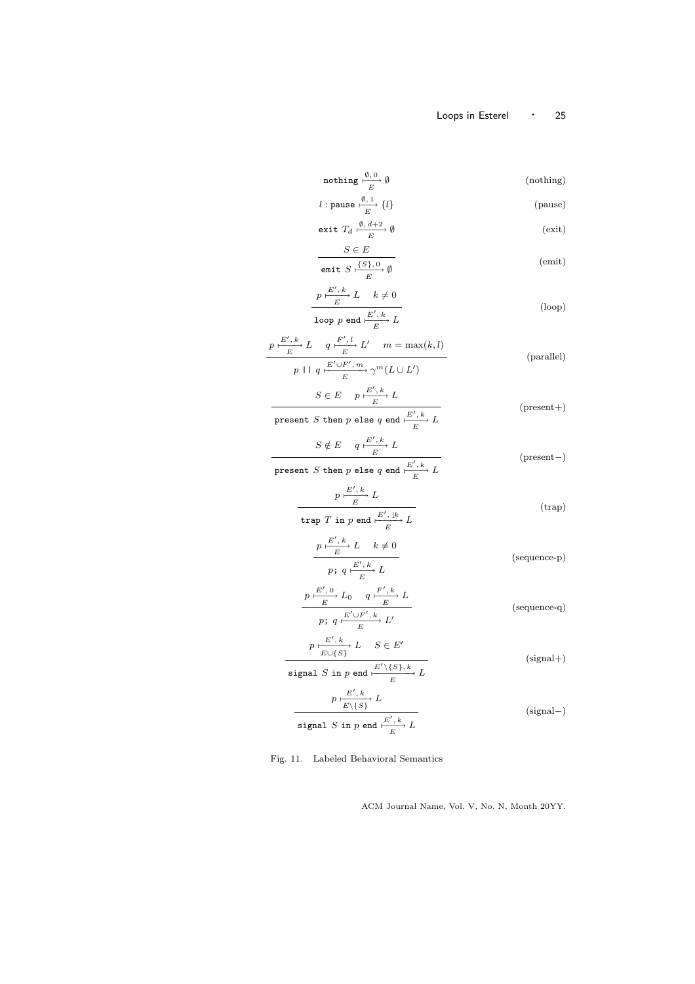$$
\begin{array}{ll}\n\text{nothing} & \xrightarrow{\emptyset, 0} \\
\downarrow{\mathbb{R}} & \xrightarrow{\emptyset} \\
l : \text{pulse} & \xrightarrow{\emptyset, 1} \{l\}\n\end{array} \tag{nothing}
$$
\n
$$
(pause)
$$

$$
\begin{aligned}\n\text{exit } T_d & \xrightarrow{\emptyset, d+2} \emptyset \\
S \in E\n\end{aligned} \tag{exit}
$$

$$
\frac{S \in E}{\text{emit } S \xrightarrow{\{S\}, 0} \emptyset} \tag{emit}
$$

$$
\frac{p \xrightarrow{E', k} L \quad k \neq 0}{\text{loop } p \text{ end } \xrightarrow{E', k} L}
$$
 (loop)

$$
\frac{p \xrightarrow{E',k} L \quad q \xrightarrow{F',l} L' \quad m = \max(k,l)}{E \quad p \mid q \xrightarrow{E' \cup F', m} \gamma^m(L \cup L')}
$$
 (parallel)  
\n
$$
S \in E \quad p \xrightarrow{E',k} L
$$
  
\npresent *S* then *p* else *q* end  $\xrightarrow{E',k} L$   
\n
$$
F', k
$$
 (present+)

$$
\cfrac{S \notin E \quad q \xrightarrow{E', k} L}{\mathbf{present} \ S \ \mathbf{then} \ p \ \mathbf{else} \ q \ \mathbf{end} \xrightarrow{E', k} L} \qquad (\text{present-})
$$

$$
p \xrightarrow{E', k} L
$$
  
trap *T* in *p* end  $\xrightarrow{E', \mu_k} L$   

$$
p \xrightarrow{E', k} L \qquad k \neq 0
$$
 (trap)

$$
\frac{p \xrightarrow{E \to K} L \quad k \neq 0}{E}
$$
 (sequence-p)  

$$
p; q \xrightarrow{E', k} L
$$

$$
\frac{p \vDash^{E', 0}_{E} L_0 \quad q \vDash^{F', k}_{E} L}{p; \quad q \vDash^{E' \cup F', k}_{E} L'}
$$
 (sequence-q)

$$
\frac{p \xleftarrow{E', k} L \quad S \in E'}{\mathop{\text{signal}} S \text{ in } p \text{ end}} \xrightarrow{E' \setminus \{S\}, k} L
$$
 (signal+)

$$
\frac{p \xrightarrow{E', k} L}{\text{signal } S \text{ in } p \text{ end } \xrightarrow{E', k} L}
$$
 (signal–)

Fig. 11. Labeled Behavioral Semantics

 $\overline{a}$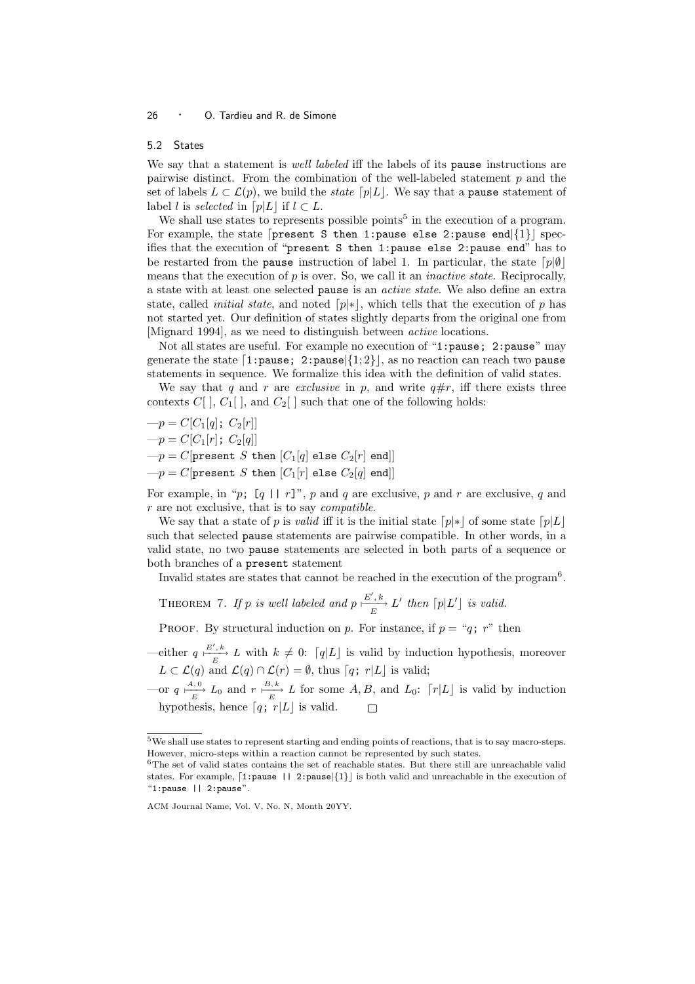## 5.2 States

We say that a statement is *well labeled* iff the labels of its pause instructions are pairwise distinct. From the combination of the well-labeled statement p and the set of labels  $L \subset \mathcal{L}(p)$ , we build the *state*  $[p|L]$ . We say that a **pause** statement of label *l* is selected in  $[p|L]$  if  $l \subset L$ .

We shall use states to represents possible points<sup>5</sup> in the execution of a program. For example, the state  $[p$ resent S then 1:pause else 2:pause end  ${1} \log c$ ifies that the execution of "present S then 1:pause else 2:pause end" has to be restarted from the pause instruction of label 1. In particular, the state  $[p|\emptyset]$ means that the execution of  $p$  is over. So, we call it an *inactive state*. Reciprocally, a state with at least one selected pause is an active state. We also define an extra state, called *initial state*, and noted  $[p] * |$ , which tells that the execution of p has not started yet. Our definition of states slightly departs from the original one from [Mignard 1994], as we need to distinguish between active locations.

Not all states are useful. For example no execution of "1:pause; 2:pause" may generate the state  $[1:p$ ause;  $2:p$ ause $|{1; 2}\rangle$ , as no reaction can reach two pause statements in sequence. We formalize this idea with the definition of valid states.

We say that q and r are exclusive in p, and write  $q\#r$ , iff there exists three contexts  $C[\,], C_1[\,],$  and  $C_2[\,]$  such that one of the following holds:

 $-p = C[C_1[q]; C_2[r]]$  $-p = C[C_1[r]; C_2[q]]$  $-p = C[$ present S then  $[C_1[q]$  else  $C_2[r]$  end]  $-p = C$ [present S then  $[C_1[r]$  else  $C_2[q]$  end]]

For example, in "p;  $[q \mid r]^n$ , p and q are exclusive, p and r are exclusive, q and r are not exclusive, that is to say compatible.

We say that a state of p is valid iff it is the initial state  $\lceil p|* \rceil$  of some state  $\lceil p|L \rceil$ such that selected pause statements are pairwise compatible. In other words, in a valid state, no two pause statements are selected in both parts of a sequence or both branches of a present statement

Invalid states are states that cannot be reached in the execution of the program<sup>6</sup>.

THEOREM 7. If p is well labeled and  $p \xrightarrow{E', k} L'$  then  $\lceil p|L' \rceil$  is valid.

PROOF. By structural induction on p. For instance, if  $p = 'q$ ; r" then

—either q  $\frac{E', k}{E}$  L with  $k \neq 0$ : [q|L] is valid by induction hypothesis, moreover  $L \subset \mathcal{L}(q)$  and  $\mathcal{L}(q) \cap \mathcal{L}(r) = \emptyset$ , thus  $[q; r | L]$  is valid;

 $\pi$  or  $q \xrightarrow{A, 0 \atop E} L_0$  and  $r \xrightarrow{B, k \atop E} L$  for some  $A, B$ , and  $L_0$ :  $\lceil r | L \rceil$  is valid by induction hypothesis, hence  $[q; r|L|$  is valid.  $\Box$ 

<sup>5</sup>We shall use states to represent starting and ending points of reactions, that is to say macro-steps. However, micro-steps within a reaction cannot be represented by such states.

<sup>6</sup>The set of valid states contains the set of reachable states. But there still are unreachable valid states. For example,  $\lceil 1$ :pause  $\lceil 1 \rceil$  2:pause $\lceil \{1\} \rceil$  is both valid and unreachable in the execution of "1:pause || 2:pause".

ACM Journal Name, Vol. V, No. N, Month 20YY.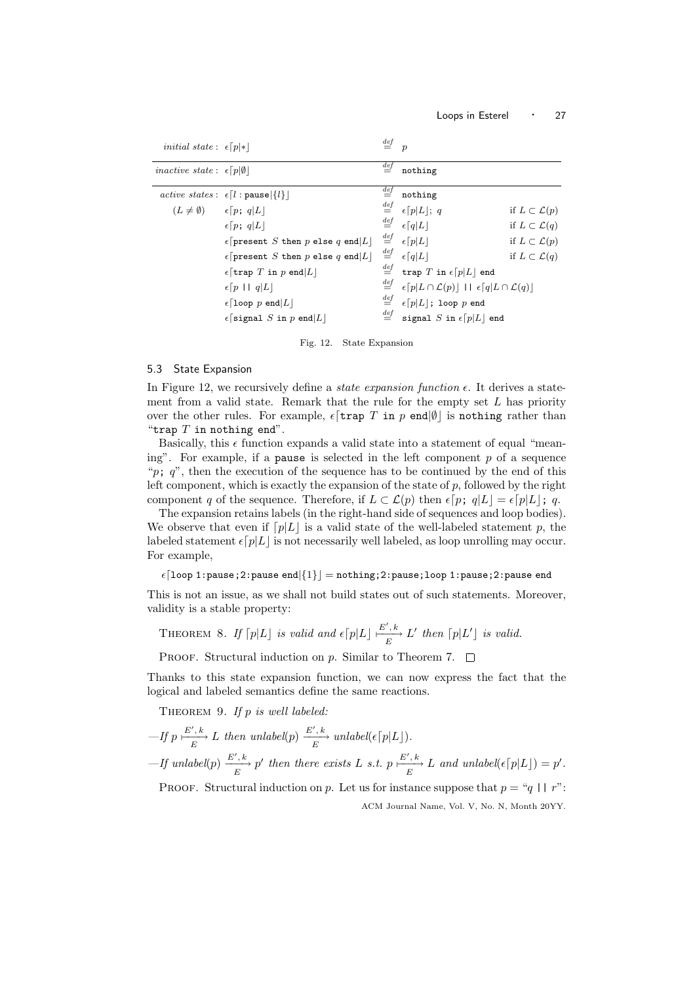| <i>initial state</i> : $\epsilon  p * $          |                                                                  | $\stackrel{def}{=}$   | $\boldsymbol{p}$                                                                                                                 |                               |
|--------------------------------------------------|------------------------------------------------------------------|-----------------------|----------------------------------------------------------------------------------------------------------------------------------|-------------------------------|
| <i>inactive state</i> : $\epsilon  p \emptyset $ |                                                                  | $\stackrel{def}{=}$   | nothing                                                                                                                          |                               |
|                                                  | $active \; states: \; \epsilon   l : \texttt{pause}   \{ l \}  $ | $\stackrel{def}{=}$   | nothing                                                                                                                          |                               |
| $(L \neq \emptyset)$ $\epsilon[p; q L]$          |                                                                  | $\stackrel{def}{=}$   | $\epsilon[p L]; q$                                                                                                               | if $L \subset \mathcal{L}(p)$ |
|                                                  | $\epsilon[p; q L]$                                               | $\stackrel {def} {=}$ | $\epsilon \lceil q L $                                                                                                           | if $L \subset \mathcal{L}(q)$ |
|                                                  | $\epsilon$ [present S then p else q end $ L $ ]                  |                       | $\stackrel{def}{=} \epsilon[p L]$                                                                                                | if $L \subset \mathcal{L}(p)$ |
|                                                  | $\epsilon$ [present S then p else q end $ L $ ]                  |                       | $\stackrel{def}{=} \epsilon \lceil q L $                                                                                         | if $L \subset \mathcal{L}(q)$ |
|                                                  | $\epsilon$ [trap T in p end $ L $                                |                       | $\stackrel{def}{=} \; \; \texttt{trap} \; T \; \texttt{in} \; \epsilon \lceil p   L \rfloor$ end                                 |                               |
|                                                  | $\epsilon  p   q L $                                             |                       | $\stackrel{def}{=} \epsilon \lceil p L \cap \mathcal{L}(p) \rceil \mid \text{I} \epsilon \lceil q L \cap \mathcal{L}(q) \rfloor$ |                               |
|                                                  | $\epsilon$ [loop p end $ L $                                     |                       | $\stackrel {def} {=} \epsilon \lceil p L \rfloor$ ; loop $p$ end                                                                 |                               |
|                                                  | $\epsilon$ [signal S in p end L                                  | $\stackrel{def}{=}$   | signal S in $\epsilon[p L]$ end                                                                                                  |                               |
|                                                  |                                                                  |                       |                                                                                                                                  |                               |

 $def$ 

Fig. 12. State Expansion

# 5.3 State Expansion

In Figure 12, we recursively define a *state expansion function*  $\epsilon$ . It derives a statement from a valid state. Remark that the rule for the empty set  $L$  has priority over the other rules. For example,  $\epsilon$ [trap T in p end|Ø| is nothing rather than "trap  $T$  in nothing end".

Basically, this  $\epsilon$  function expands a valid state into a statement of equal "meaning". For example, if a **pause** is selected in the left component  $p$  of a sequence "p;  $q$ ", then the execution of the sequence has to be continued by the end of this left component, which is exactly the expansion of the state of  $p$ , followed by the right component q of the sequence. Therefore, if  $L \subset \mathcal{L}(p)$  then  $\epsilon[p; q|L] = \epsilon[p|L|; q$ .

The expansion retains labels (in the right-hand side of sequences and loop bodies). We observe that even if  $[p|L]$  is a valid state of the well-labeled statement p, the labeled statement  $\epsilon[p|L]$  is not necessarily well labeled, as loop unrolling may occur. For example,

 $\epsilon$ [loop 1:pause;2:pause end $|\{1\}]$  = nothing;2:pause;loop 1:pause;2:pause end

This is not an issue, as we shall not build states out of such statements. Moreover, validity is a stable property:

THEOREM 8. If  $\lceil p|L \rceil$  is valid and  $\epsilon \lceil p|L| \xrightarrow{E',k} L'$  then  $\lceil p|L' \rceil$  is valid.

PROOF. Structural induction on p. Similar to Theorem 7.  $\Box$ 

Thanks to this state expansion function, we can now express the fact that the logical and labeled semantics define the same reactions.

THEOREM 9. If  $p$  is well labeled:

$$
-If \ p \xrightarrow{E', k} L \ then \ unlabeled(p) \xrightarrow{E', k} unlabeled(\epsilon[p|L]).
$$
  
\n
$$
-If \ unlabeled(p) \xrightarrow{E', k} p' \ then \ there \ exists \ L \ s.t. \ p \xrightarrow{E', k} L \ and \ unlabeled(\epsilon[p|L]) = p'.
$$
  
\nPROOF. Structural induction on p. Let us for instance suppose that  $p = \text{``}q \mid |r\text{''}:$   
\nACM Journal Name, Vol. V, No. N. Month 20YY.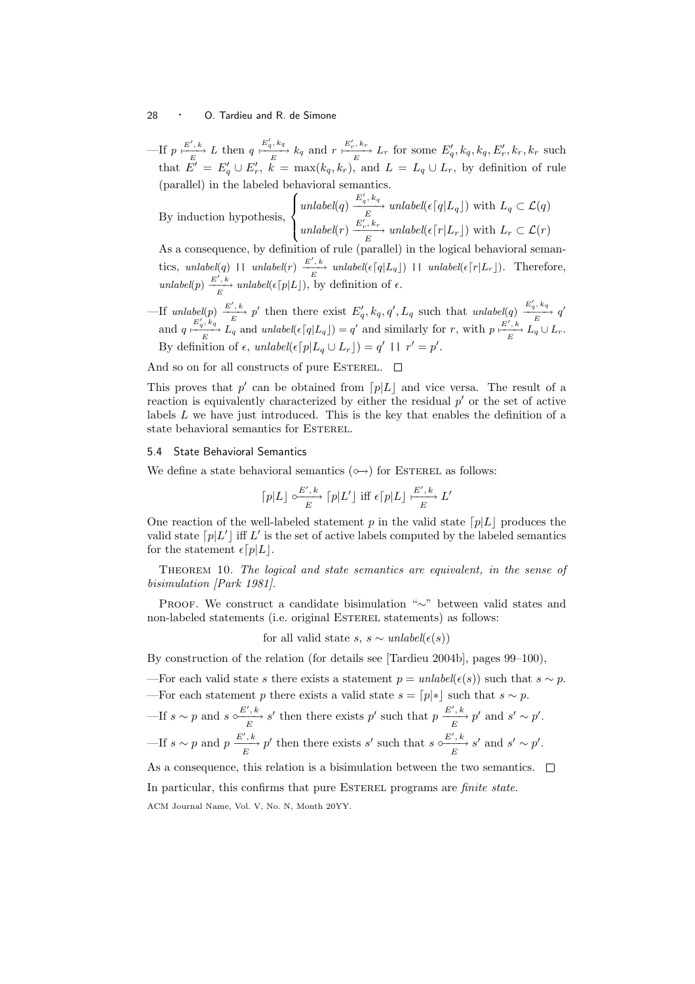$-$ If  $p \xrightarrow{E', k \atop E} L$  then  $q \xrightarrow{E'_q, k_q \atop E} k_q$  and  $r \xrightarrow{E'_r, k_r \atop E} L_r$  for some  $E'_q, k_q, k_q, E'_r, k_r, k_r$  such that  $E' = E'_{q} \cup E'_{r}$ ,  $k = \max(k_q, k_r)$ , and  $L = L_q \cup L_r$ , by definition of rule (parallel) in the labeled behavioral semantics.

By induction hypothesis, 
$$
\begin{cases} unlabel(q) \xrightarrow{E_q', k_q} unlabel(\epsilon[q|L_q]) \text{ with } L_q \subset \mathcal{L}(q) \\ unlabel(r) \xrightarrow{E_r', k_r} unlabel(\epsilon[r|L_r]) \text{ with } L_r \subset \mathcal{L}(r) \end{cases}
$$

As a consequence, by definition of rule (parallel) in the logical behavioral semantics, unlabel(q)  $\prod_{p}$  unlabel(r)  $\frac{E', k}{E}$  unlabel( $\epsilon \lceil q|L_q \rceil$ )  $\prod$  unlabel( $\epsilon \lceil r|L_r \rceil$ ). Therefore, unlabel(p)  $\frac{E', k}{E}$  unlabel( $\epsilon[p|L]$ ), by definition of  $\epsilon$ .

 $-\text{If } unlabel(p) \xrightarrow{E', k} p' \text{ then there exist } E'_q, k_q, q', L_q \text{ such that } unlabel(q) \xrightarrow{E'_q, k_q} q'$ and  $q \xrightarrow{E'_q, k_q \to E' \atop E} L_q$  and  $unlabel(\epsilon[q|L_q]) = q'$  and similarly for r, with  $p \xrightarrow{E', k \to E \atop E} L_q \cup L_r$ . By definition of  $\epsilon$ , unlabel( $\epsilon[p|L_q \cup L_r]$ ) = q' ||  $r' = p'$ .

And so on for all constructs of pure ESTEREL.  $\Box$ 

This proves that  $p'$  can be obtained from  $[p|L]$  and vice versa. The result of a reaction is equivalently characterized by either the residual  $p'$  or the set of active labels L we have just introduced. This is the key that enables the definition of a state behavioral semantics for ESTEREL.

## 5.4 State Behavioral Semantics

We define a state behavioral semantics  $(\circ \rightarrow)$  for ESTEREL as follows:

$$
\lceil p|L \rfloor \stackrel{E',\,k}{\longrightarrow} \lceil p|L' \rfloor \text{ iff } \epsilon \lceil p|L \rfloor \stackrel{E',\,k}{\longmapsto} L'
$$

One reaction of the well-labeled statement p in the valid state  $[p|L]$  produces the valid state  $[p|L']$  iff L' is the set of active labels computed by the labeled semantics for the statement  $\epsilon$ [ $p|L$ ].

Theorem 10. The logical and state semantics are equivalent, in the sense of bisimulation [Park 1981].

PROOF. We construct a candidate bisimulation "∼" between valid states and non-labeled statements (i.e. original ESTEREL statements) as follows:

for all valid state s, s  $\sim$  unlabel( $\epsilon(s)$ )

By construction of the relation (for details see [Tardieu 2004b], pages 99–100),

- —For each valid state s there exists a statement  $p = unlabeled(\epsilon(s))$  such that  $s \sim p$ . —For each statement p there exists a valid state  $s = \lfloor p \rfloor * |$  such that  $s \sim p$ .
- $\text{If } s \sim p \text{ and } s \xrightarrow{E', k} s' \text{ then there exists } p' \text{ such that } p \xrightarrow{E', k} p' \text{ and } s' \sim p'.$  $\text{If } s \sim p \text{ and } p \xrightarrow{E', k} p' \text{ then there exists } s' \text{ such that } s \xrightarrow{E', k} s' \text{ and } s' \sim p'.$

As a consequence, this relation is a bisimulation between the two semantics.  $\Box$ In particular, this confirms that pure ESTEREL programs are *finite state*. ACM Journal Name, Vol. V, No. N, Month 20YY.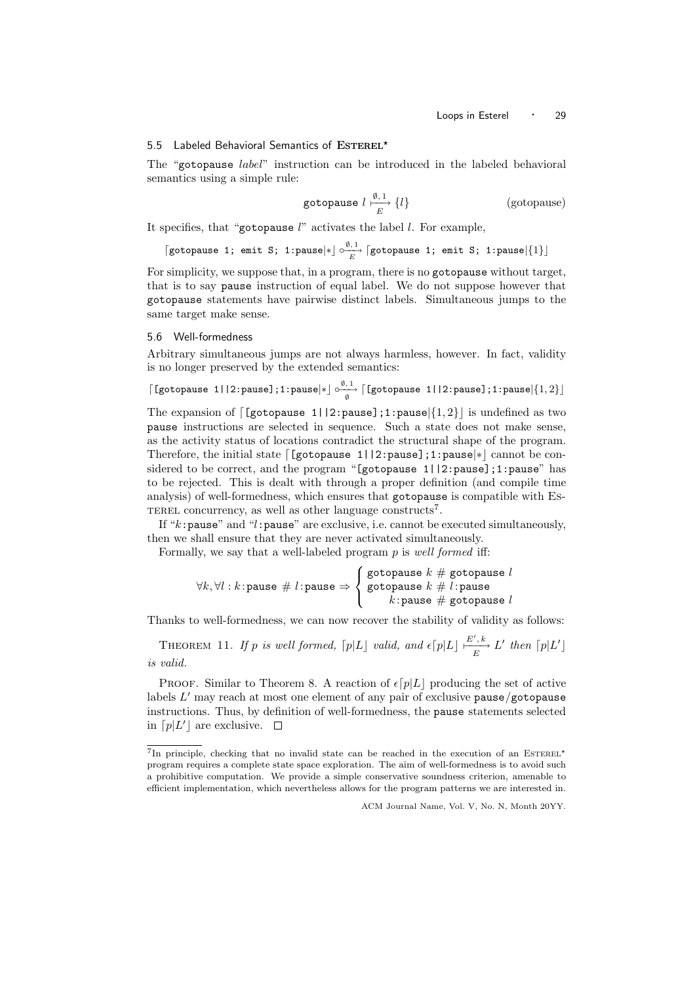## 5.5 Labeled Behavioral Semantics of ESTEREL\*

The "gotopause label" instruction can be introduced in the labeled behavioral semantics using a simple rule:

$$
\text{gotopause } l \xrightarrow{0, 1} \{l\} \tag{gotopause}
$$

It specifies, that "gotopause  $l$ " activates the label  $l$ . For example,

 $\lceil$ gotopause 1; emit S; 1:pause|\* $\rfloor \circ \frac{\emptyset, 1}{E}$   $\lceil$ gotopause 1; emit S; 1:pause|{1}]

For simplicity, we suppose that, in a program, there is no gotopause without target, that is to say pause instruction of equal label. We do not suppose however that gotopause statements have pairwise distinct labels. Simultaneous jumps to the same target make sense.

#### 5.6 Well-formedness

Arbitrary simultaneous jumps are not always harmless, however. In fact, validity is no longer preserved by the extended semantics:

# $\lceil$ [gotopause 1||2:pause];1:pause|\* $\rfloor \circ \frac{\emptyset, 1}{\emptyset}$   $\lceil$  [gotopause 1||2:pause];1:pause| $\{1, 2\}$ ]

The expansion of  $\lceil$  [gotopause 1||2:pause];1:pause $\lceil$ {1,2} $\rceil$  is undefined as two pause instructions are selected in sequence. Such a state does not make sense, as the activity status of locations contradict the structural shape of the program. Therefore, the initial state  $\lceil$ [gotopause 1||2:pause];1:pause|\*| cannot be considered to be correct, and the program "[gotopause 1||2:pause];1:pause" has to be rejected. This is dealt with through a proper definition (and compile time analysis) of well-formedness, which ensures that gotopause is compatible with Es-TEREL concurrency, as well as other language constructs<sup>7</sup>.

If "k:pause" and "l:pause" are exclusive, i.e. cannot be executed simultaneously, then we shall ensure that they are never activated simultaneously.

Formally, we say that a well-labeled program  $p$  is well formed iff:

$$
\forall k, \forall l: k: \texttt{pause} \; \# \; l: \texttt{pause} \Rightarrow \left\{ \begin{array}{l} \texttt{gotopause} \; k \; \# \; \texttt{gotopause} \; l \\ \texttt{gotopause} \; k \; \# \; l: \texttt{pause} \; l \\ \; k: \texttt{pause} \; \# \; \texttt{gotopause} \; l \end{array} \right.
$$

Thanks to well-formedness, we can now recover the stability of validity as follows:

THEOREM 11. If p is well formed,  $\lceil p|L \rceil$  valid, and  $\epsilon \lceil p|L| \xrightarrow[E',k]{} L'$  then  $\lceil p|L' \rceil$ is valid.

PROOF. Similar to Theorem 8. A reaction of  $\epsilon[p|L]$  producing the set of active labels  $L'$  may reach at most one element of any pair of exclusive  $\mathsf{pause}/\mathsf{gotopause}$ instructions. Thus, by definition of well-formedness, the pause statements selected in  $[p|L']$  are exclusive.

<sup>&</sup>lt;sup>7</sup>In principle, checking that no invalid state can be reached in the execution of an ESTEREL<sup>\*</sup> program requires a complete state space exploration. The aim of well-formedness is to avoid such a prohibitive computation. We provide a simple conservative soundness criterion, amenable to efficient implementation, which nevertheless allows for the program patterns we are interested in.

ACM Journal Name, Vol. V, No. N, Month 20YY.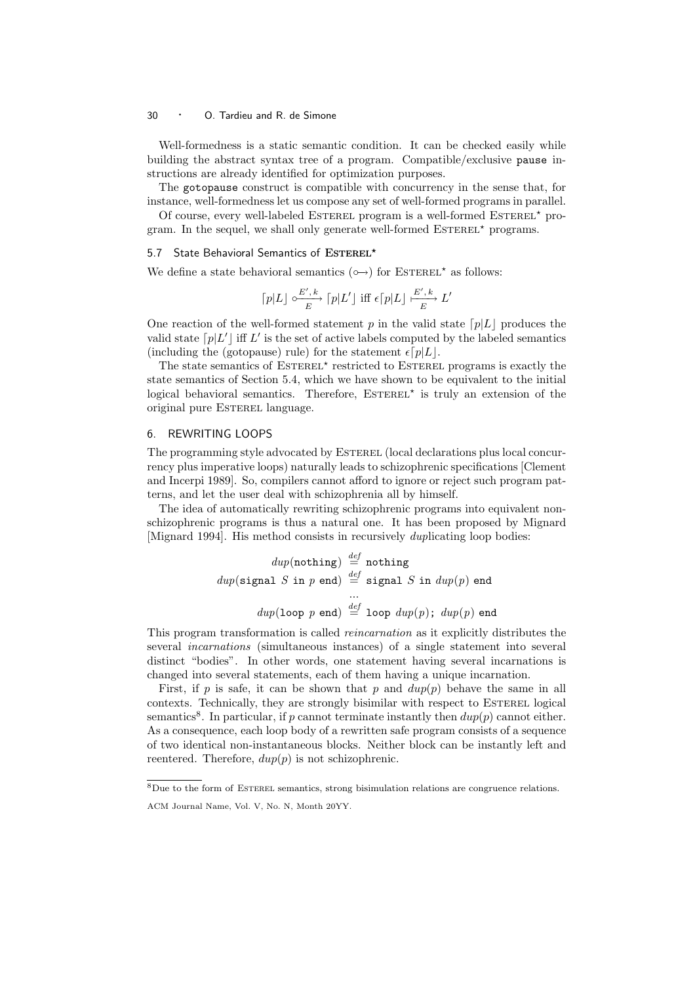Well-formedness is a static semantic condition. It can be checked easily while building the abstract syntax tree of a program. Compatible/exclusive pause instructions are already identified for optimization purposes.

The gotopause construct is compatible with concurrency in the sense that, for instance, well-formedness let us compose any set of well-formed programs in parallel.

Of course, every well-labeled ESTEREL program is a well-formed  $\text{ESTEREL}^{\star}$  program. In the sequel, we shall only generate well-formed  $\text{ESTEREL}^{\star}$  programs.

# 5.7 State Behavioral Semantics of ESTEREL\*

We define a state behavioral semantics  $(\circ \rightarrow)$  for ESTEREL<sup>\*</sup> as follows:

$$
\lceil p|L \rfloor \circ \xrightarrow[E',k]{E',k} \lceil p|L' \rfloor \text{ iff } \epsilon \lceil p|L \rfloor \xrightarrow[E',k]{E',k} L'
$$

One reaction of the well-formed statement p in the valid state  $[p|L]$  produces the valid state  $[p|L']$  iff L' is the set of active labels computed by the labeled semantics (including the (gotopause) rule) for the statement  $\epsilon[p|L]$ .

The state semantics of ESTEREL<sup>\*</sup> restricted to ESTEREL programs is exactly the state semantics of Section 5.4, which we have shown to be equivalent to the initial logical behavioral semantics. Therefore, ESTEREL<sup>\*</sup> is truly an extension of the original pure ESTEREL language.

# 6. REWRITING LOOPS

The programming style advocated by ESTEREL (local declarations plus local concurrency plus imperative loops) naturally leads to schizophrenic specifications [Clement and Incerpi 1989]. So, compilers cannot afford to ignore or reject such program patterns, and let the user deal with schizophrenia all by himself.

The idea of automatically rewriting schizophrenic programs into equivalent nonschizophrenic programs is thus a natural one. It has been proposed by Mignard [Mignard 1994]. His method consists in recursively duplicating loop bodies:

$$
\begin{array}{rcl} \mathit{dup}(\texttt{nothing}) & \stackrel{\mathit{def}}{=} & \texttt{nothing} \\ \mathit{dup}(\texttt{signal} \; S \; \texttt{in} \; p \; \texttt{end}) & \stackrel{\mathit{def}}{=} & \texttt{signal} \; S \; \texttt{in} \; \mathit{dup}(p) \; \texttt{end} \\ \cdots \\ \mathit{dup}(\texttt{loop} \; p \; \texttt{end}) & \stackrel{\mathit{def}}{=} \; \texttt{loop} \; \mathit{dup}(p) \; ; \; \mathit{dup}(p) \; \texttt{end} \end{array}
$$

This program transformation is called reincarnation as it explicitly distributes the several incarnations (simultaneous instances) of a single statement into several distinct "bodies". In other words, one statement having several incarnations is changed into several statements, each of them having a unique incarnation.

First, if p is safe, it can be shown that p and  $dup(p)$  behave the same in all contexts. Technically, they are strongly bisimilar with respect to ESTEREL logical semantics<sup>8</sup>. In particular, if p cannot terminate instantly then  $dup(p)$  cannot either. As a consequence, each loop body of a rewritten safe program consists of a sequence of two identical non-instantaneous blocks. Neither block can be instantly left and reentered. Therefore,  $dup(p)$  is not schizophrenic.

<sup>8</sup>Due to the form of Esterel semantics, strong bisimulation relations are congruence relations.

ACM Journal Name, Vol. V, No. N, Month 20YY.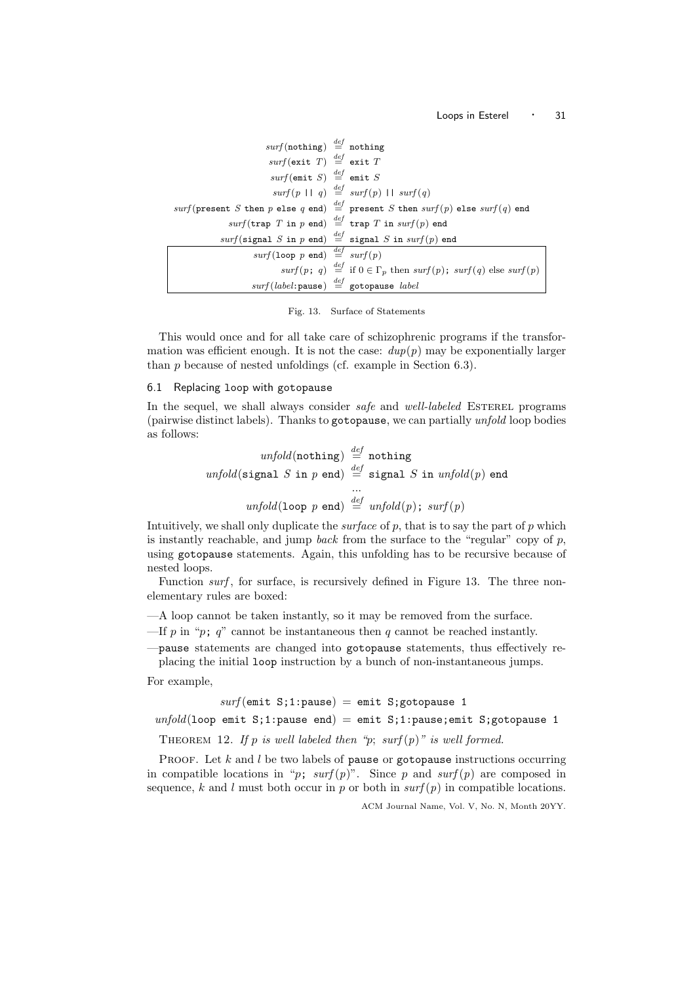| $\text{surf}(\text{nothing}) \stackrel{\text{def}}{=} \text{nothing}$                                                       |                                                                                                |
|-----------------------------------------------------------------------------------------------------------------------------|------------------------------------------------------------------------------------------------|
| $\textit{surf}(\textsf{exit}\,\;T)\ \stackrel{\textit{def}}{=}$ exit $T$                                                    |                                                                                                |
| $surf(\text{emit }S) \stackrel{def}{=}$ emit S                                                                              |                                                                                                |
|                                                                                                                             | $surf(p \mid \mid q) \stackrel{def}{=} surf(p) \mid \mid surf(q)$                              |
|                                                                                                                             | surf (present S then p else q end) $\stackrel{def}{=}$ present S then surf(p) else surf(q) end |
| $surf(\texttt{trap }T \texttt{ in } p \texttt{ end}) \stackrel{def}{=} \texttt{trap }T \texttt{ in } surf(p) \texttt{ end}$ |                                                                                                |
| surf(signal S in p end) $\stackrel{def}{=}$ signal S in surf(p) end                                                         |                                                                                                |
| $surf(\text{loop } p \text{ end}) \stackrel{def}{=} surf(p)$                                                                |                                                                                                |
|                                                                                                                             | surf(p; q) $\stackrel{def}{=}$ if $0 \in \Gamma_p$ then surf(p); surf(q) else surf(p)          |
| $\textit{surf}(label;\texttt{pause}) \triangleq$ gotopause label                                                            |                                                                                                |

Fig. 13. Surface of Statements

This would once and for all take care of schizophrenic programs if the transformation was efficient enough. It is not the case:  $dup(p)$  may be exponentially larger than p because of nested unfoldings (cf. example in Section 6.3).

## 6.1 Replacing loop with gotopause

In the sequel, we shall always consider *safe* and *well-labeled* ESTEREL programs (pairwise distinct labels). Thanks to gotopause, we can partially unfold loop bodies as follows:

$$
unfold(\text{nothing}) \stackrel{def}{=} \text{nothing}
$$
\n
$$
unfold(\text{signal } S \text{ in } p \text{ end}) \stackrel{def}{=} \text{signal } S \text{ in } unfold(p) \text{ end}
$$
\n
$$
...
$$
\n
$$
unfold(\text{loop } p \text{ end}) \stackrel{def}{=} unfold(p); surf(p)
$$

Intuitively, we shall only duplicate the *surface* of  $p$ , that is to say the part of  $p$  which is instantly reachable, and jump back from the surface to the "regular" copy of  $p$ , using gotopause statements. Again, this unfolding has to be recursive because of nested loops.

Function  $surf$ , for surface, is recursively defined in Figure 13. The three nonelementary rules are boxed:

—A loop cannot be taken instantly, so it may be removed from the surface.

—If p in "p;  $q$ " cannot be instantaneous then q cannot be reached instantly.

—pause statements are changed into gotopause statements, thus effectively replacing the initial loop instruction by a bunch of non-instantaneous jumps.

For example,

#### $surf$ (emit S;1:pause) = emit S;gotopause 1

 $unfold($ loop emit S;1:pause end) = emit S;1:pause;emit S;gotopause 1

THEOREM 12. If p is well labeled then "p; surf  $(p)$ " is well formed.

PROOF. Let  $k$  and  $l$  be two labels of pause or gotopause instructions occurring in compatible locations in "p;  $surf(p)$ ". Since p and  $surf(p)$  are composed in sequence, k and l must both occur in p or both in  $\text{surf}(p)$  in compatible locations.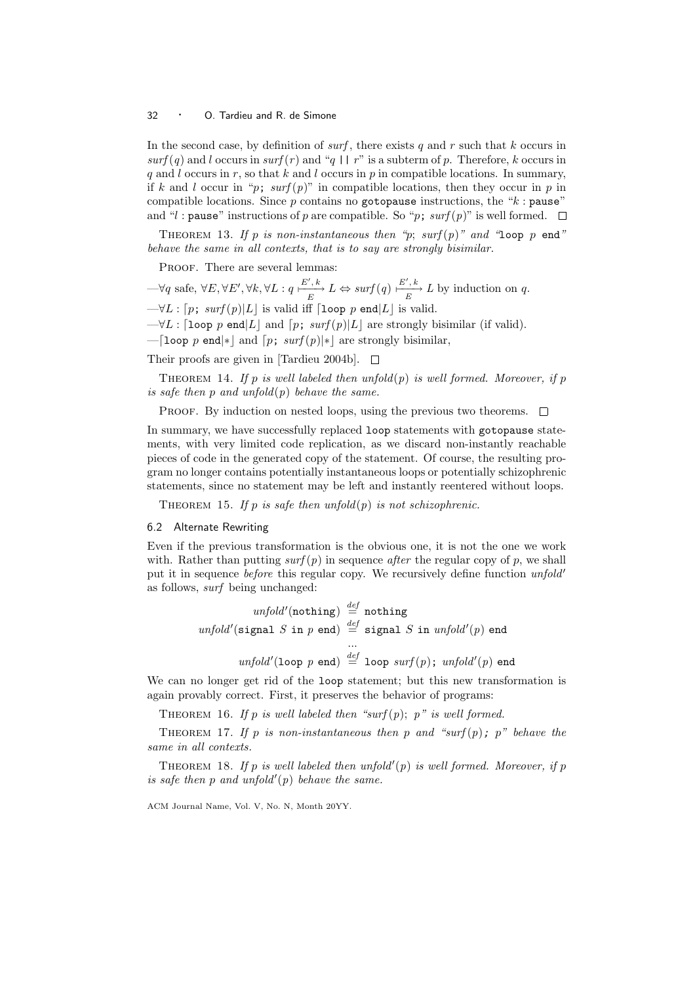In the second case, by definition of  $surf$ , there exists q and r such that k occurs in  $surf(q)$  and l occurs in  $surf(r)$  and "q || r" is a subterm of p. Therefore, k occurs in q and l occurs in r, so that k and l occurs in p in compatible locations. In summary, if k and l occur in "p;  $\text{surf}(p)$ " in compatible locations, then they occur in p in compatible locations. Since  $p$  contains no gotopause instructions, the " $k$ : pause" and "l : pause" instructions of p are compatible. So "p;  $surf(p)$ " is well formed.  $\Box$ 

THEOREM 13. If p is non-instantaneous then "p; surf(p)" and "loop p end" behave the same in all contexts, that is to say are strongly bisimilar.

PROOF. There are several lemmas:

 $-\forall q \text{ safe}, \forall E, \forall E', \forall k, \forall L : q \xrightarrow{E', k} L \Leftrightarrow \text{surf}(q) \xrightarrow{E', k} L \text{ by induction on } q.$ 

 $-\forall L : [p; \; surf(p)|L| \; \text{is valid iff } [\text{loop } p \; \text{end}|L| \; \text{is valid.}$ 

 $-\forall L$ : [loop p end|L| and [p; surf(p)|L| are strongly bisimilar (if valid).

— [loop p end|\*| and  $[p; surf(p)]*|$  are strongly bisimilar,

Their proofs are given in [Tardieu 2004b].  $\Box$ 

THEOREM 14. If p is well labeled then unfold $(p)$  is well formed. Moreover, if p is safe then  $p$  and unfold $(p)$  behave the same.

PROOF. By induction on nested loops, using the previous two theorems.  $\Box$ 

In summary, we have successfully replaced loop statements with gotopause statements, with very limited code replication, as we discard non-instantly reachable pieces of code in the generated copy of the statement. Of course, the resulting program no longer contains potentially instantaneous loops or potentially schizophrenic statements, since no statement may be left and instantly reentered without loops.

THEOREM 15. If p is safe then unfold $(p)$  is not schizophrenic.

#### 6.2 Alternate Rewriting

Even if the previous transformation is the obvious one, it is not the one we work with. Rather than putting  $surf(p)$  in sequence after the regular copy of p, we shall put it in sequence *before* this regular copy. We recursively define function *unfold'* as follows, surf being unchanged:

$$
unfold'(\text{nothing}) \stackrel{def}{=} \text{nothing}
$$
\n
$$
unfold'(\text{signal } S \text{ in } p \text{ end}) \stackrel{def}{=} \text{signal } S \text{ in } unfold'(p) \text{ end}
$$
\n
$$
\cdots
$$
\n
$$
unfold'(\text{loop } p \text{ end}) \stackrel{def}{=} \text{loop } surf(p); unfold'(p) \text{ end}
$$

We can no longer get rid of the loop statement; but this new transformation is again provably correct. First, it preserves the behavior of programs:

THEOREM 16. If p is well labeled then "surf(p); p" is well formed.

THEOREM 17. If p is non-instantaneous then p and "surf(p);  $p$ " behave the same in all contexts.

THEOREM 18. If p is well labeled then unfold $'(p)$  is well formed. Moreover, if p is safe then  $p$  and unfold $'(p)$  behave the same.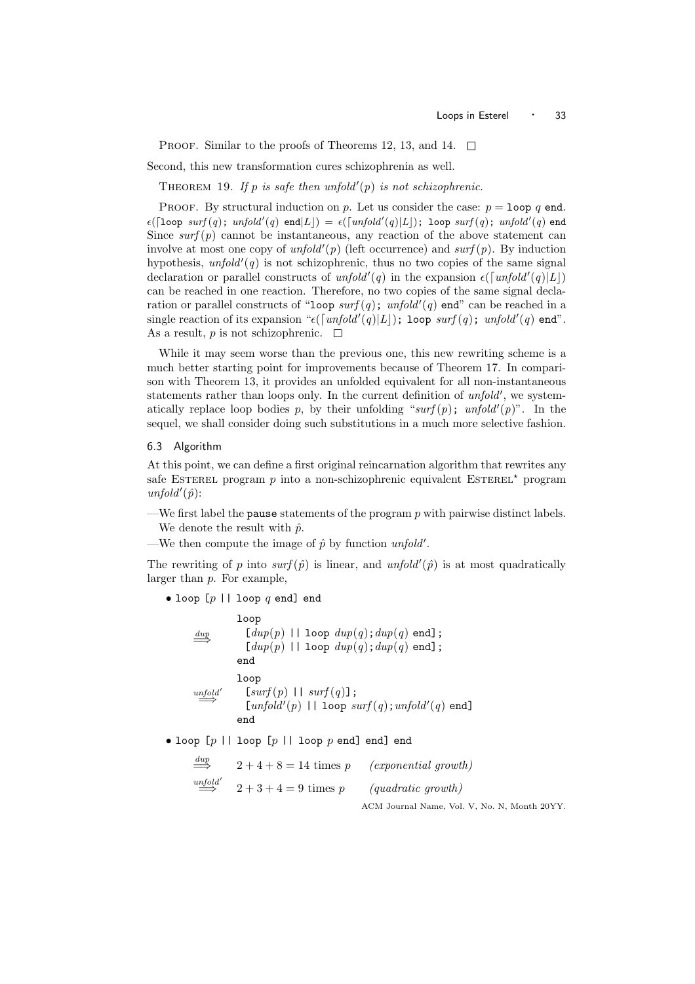PROOF. Similar to the proofs of Theorems 12, 13, and 14.  $\Box$ 

Second, this new transformation cures schizophrenia as well.

THEOREM 19. If p is safe then unfold $'(p)$  is not schizophrenic.

PROOF. By structural induction on p. Let us consider the case:  $p = \text{loop } q$  end.  $\epsilon(\lceil \texttt{loop}\>\> surf(q); \>\> unfold'(q) \>\> \texttt{end}|\ L \rceil) \> = \> \epsilon(\lceil \texttt{unfold}'(q) | L \rceil); \>\> \texttt{loop}\>\> surf(q); \>\> unfold'(q) \>\> \texttt{end}$ Since  $surf(p)$  cannot be instantaneous, any reaction of the above statement can involve at most one copy of  $unfold'(p)$  (left occurrence) and  $surf(p)$ . By induction hypothesis,  $unfold'(q)$  is not schizophrenic, thus no two copies of the same signal declaration or parallel constructs of  $unfold'(q)$  in the expansion  $\epsilon([unfold'(q)|L])$ can be reached in one reaction. Therefore, no two copies of the same signal declaration or parallel constructs of "loop  $\text{surf}(q)$ ;  $\text{unfold}^{\prime}(q)$  end" can be reached in a single reaction of its expansion " $\epsilon(\lceil \mathit{unfold}'(q)|L \rceil)$ ; loop  $\mathit{surf}(q)$ ;  $\mathit{unfold}'(q)$  end". As a result, p is not schizophrenic.  $\square$ 

While it may seem worse than the previous one, this new rewriting scheme is a much better starting point for improvements because of Theorem 17. In comparison with Theorem 13, it provides an unfolded equivalent for all non-instantaneous statements rather than loops only. In the current definition of unfold', we systematically replace loop bodies p, by their unfolding "surf(p); unfold'(p)". In the sequel, we shall consider doing such substitutions in a much more selective fashion.

## 6.3 Algorithm

At this point, we can define a first original reincarnation algorithm that rewrites any safe ESTEREL program  $p$  into a non-schizophrenic equivalent ESTEREL<sup>\*</sup> program  $unfold'(\hat{p})$ :

- —We first label the pause statements of the program  $p$  with pairwise distinct labels. We denote the result with  $\hat{p}$ .
- —We then compute the image of  $\hat{p}$  by function unfold'.

The rewriting of p into  $surf(\hat{p})$  is linear, and  $unfold'(\hat{p})$  is at most quadratically larger than p. For example,

• loop  $[p \mid \cdot]$  loop q end] end

 $\xrightarrow{dup}$ loop  $[dup(p)$  || loop  $dup(q);dup(q)$  end];  $[dup(p)$  || loop  $dup(q);dup(q)$  end]; end  $\stackrel{unfold'}{\Longrightarrow}$ loop  $\lceil \textit{surf}(p) \rceil \mid \textit{surf}(q) \rceil$ ;  $\lceil \n{unfold'(p) \mid l \text{ loop } surf(q); \n{unfold'(q) \text{ end}} \rceil}$ end

• loop  $[p \mid \cdot]$  loop  $[p \mid \cdot]$  loop  $p$  end] end] end

| $\stackrel{dup}{\Longrightarrow}$ | $2+4+8=14$ times p <i>(exponential growth)</i>        |                                              |
|-----------------------------------|-------------------------------------------------------|----------------------------------------------|
|                                   | $\stackrel{unfold'}{\Longrightarrow}$ 2+3+4=9 times p | $\{(quadratic\ growth)\}$                    |
|                                   |                                                       | ACM Journal Name, Vol. V, No. N, Month 20YY. |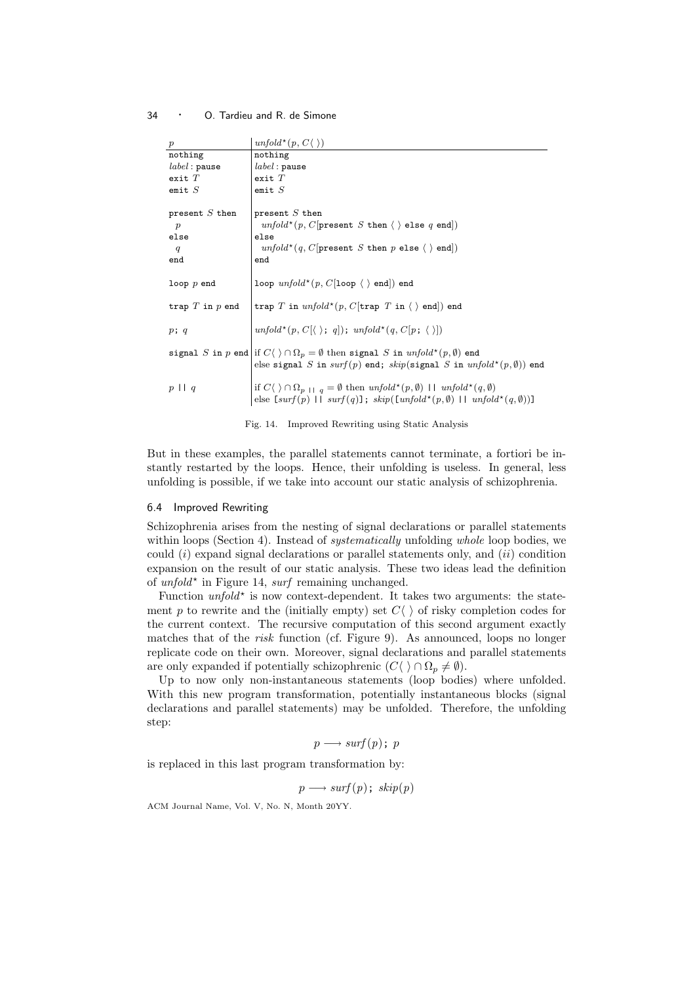| $\boldsymbol{p}$    | $unfold^{\star}(p, C\langle \ \rangle)$                                                                                          |
|---------------------|----------------------------------------------------------------------------------------------------------------------------------|
| nothing             | nothing                                                                                                                          |
|                     |                                                                                                                                  |
| $ext{}T$            | $ext{ext}$                                                                                                                       |
| emit $S$            | emit $S$                                                                                                                         |
|                     |                                                                                                                                  |
| present $S$ then    | present $S$ then                                                                                                                 |
| $\boldsymbol{p}$    | $unfold^*(p, C[present S then \langle \rangle)$ else q end                                                                       |
| else                | else                                                                                                                             |
| q                   | unfold*(q, C   present S then p else $\langle \ \rangle$ end   $\rangle$                                                         |
| end                 | end                                                                                                                              |
|                     |                                                                                                                                  |
| loop $p$ end        | loop $unfold^*(p, C[loop \langle) end])$ end                                                                                     |
|                     |                                                                                                                                  |
| trap $T$ in $p$ end | trap T in $unfold^*(p, C $ trap T in $\langle \ \rangle$ end $ $ end                                                             |
|                     |                                                                                                                                  |
| p; q                | $unfold^*(p, C[\langle \ \rangle; q])$ ; $unfold^*(q, C[p; \ \langle \ \rangle])$                                                |
|                     |                                                                                                                                  |
|                     | signal S in p end if $C(\ ) \cap \Omega_p = \emptyset$ then signal S in $unfold^*(p, \emptyset)$ end                             |
|                     | else signal S in $surf(p)$ end; $skip(\text{signal }S$ in $unfold^*(p, \emptyset))$ end                                          |
|                     |                                                                                                                                  |
| $p \mid q$          | if $C \langle \ \rangle \cap \Omega_{p+1-q} = \emptyset$ then $\text{unfold}^*(p, \emptyset)$    $\text{unfold}^*(q, \emptyset)$ |
|                     | else $[surf(p) \mid surf(q)]$ ; $skip([unfold^*(p, \emptyset) \mid wnfold^*(q, \emptyset))]$                                     |

Fig. 14. Improved Rewriting using Static Analysis

But in these examples, the parallel statements cannot terminate, a fortiori be instantly restarted by the loops. Hence, their unfolding is useless. In general, less unfolding is possible, if we take into account our static analysis of schizophrenia.

#### 6.4 Improved Rewriting

Schizophrenia arises from the nesting of signal declarations or parallel statements within loops (Section 4). Instead of *systematically* unfolding *whole* loop bodies, we could  $(i)$  expand signal declarations or parallel statements only, and  $(ii)$  condition expansion on the result of our static analysis. These two ideas lead the definition of  $unfold^*$  in Figure 14, surf remaining unchanged.

Function  $unfold^*$  is now context-dependent. It takes two arguments: the statement p to rewrite and the (initially empty) set  $C\langle \ \rangle$  of risky completion codes for the current context. The recursive computation of this second argument exactly matches that of the *risk* function (cf. Figure 9). As announced, loops no longer replicate code on their own. Moreover, signal declarations and parallel statements are only expanded if potentially schizophrenic  $(C \setminus \cap \Omega_p \neq \emptyset)$ .

Up to now only non-instantaneous statements (loop bodies) where unfolded. With this new program transformation, potentially instantaneous blocks (signal declarations and parallel statements) may be unfolded. Therefore, the unfolding step:

 $p \longrightarrow surf(p); p$ 

is replaced in this last program transformation by:

 $p \longrightarrow surf(p); \; skip(p)$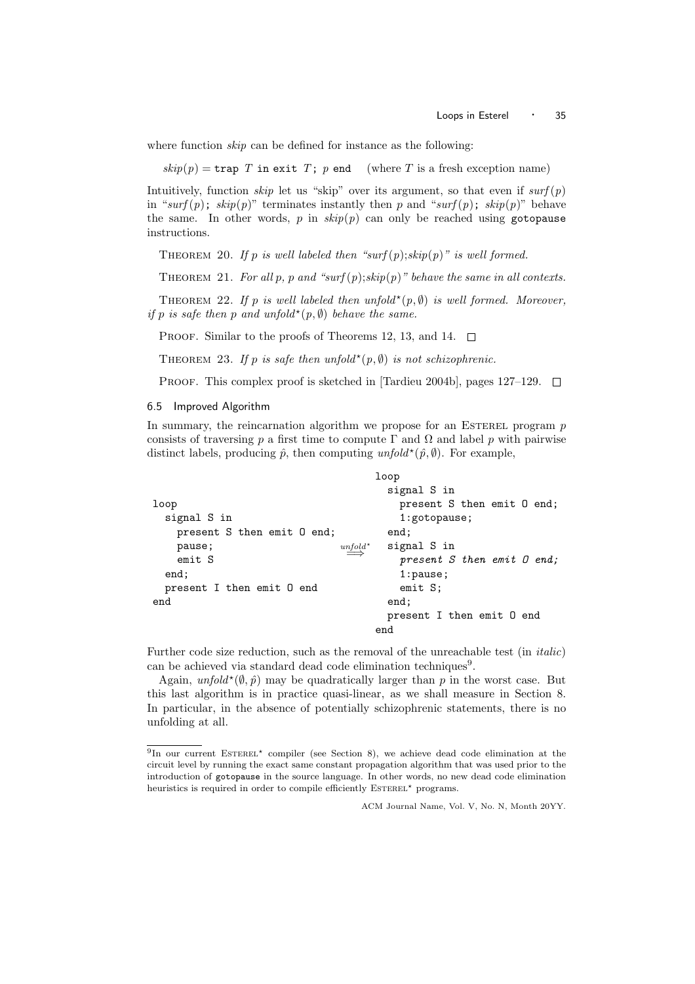where function *skip* can be defined for instance as the following:

 $skip(p) =$ **trap** T in exit T; p end (where T is a fresh exception name)

Intuitively, function *skip* let us "skip" over its argument, so that even if  $\text{surf}(p)$ in "surf(p); skip(p)" terminates instantly then p and "surf(p); skip(p)" behave the same. In other words, p in  $skip(p)$  can only be reached using gotopause instructions.

THEOREM 20. If p is well labeled then "surf $(p)$ ; skip $(p)$ " is well formed.

THEOREM 21. For all p, p and "surf $(p)$ ; skip $(p)$ " behave the same in all contexts.

THEOREM 22. If p is well labeled then unfold<sup>\*</sup> $(p, \emptyset)$  is well formed. Moreover, if p is safe then p and unfold<sup>\*</sup> $(p, \emptyset)$  behave the same.

PROOF. Similar to the proofs of Theorems 12, 13, and 14.  $\Box$ 

THEOREM 23. If p is safe then unfold<sup>\*</sup> $(p, \emptyset)$  is not schizophrenic.

PROOF. This complex proof is sketched in [Tardieu 2004b], pages 127–129.  $\Box$ 

## 6.5 Improved Algorithm

In summary, the reincarnation algorithm we propose for an ESTEREL program  $p$ consists of traversing p a first time to compute  $\Gamma$  and  $\Omega$  and label p with pairwise distinct labels, producing  $\hat{p}$ , then computing unfold<sup>\*</sup>( $\hat{p}$ , $\emptyset$ ). For example,

|                            | loop                           |
|----------------------------|--------------------------------|
|                            | signal S in                    |
| loop                       | present S then emit 0 end;     |
| signal S in                | $1:$ gotopause;                |
| present S then emit 0 end; | end;                           |
| $unfold^{\star}$<br>pause; | signal S in                    |
| emit S                     | present $S$ then emit $O$ end; |
| end;                       | $1:$ pause;                    |
| present I then emit 0 end  | emit S;                        |
| end                        | end;                           |
|                            | present I then emit 0 end      |
|                            | end                            |

Further code size reduction, such as the removal of the unreachable test (in italic) can be achieved via standard dead code elimination techniques<sup>9</sup>.

Again,  $unfold^{\star}(\emptyset, \hat{p})$  may be quadratically larger than p in the worst case. But this last algorithm is in practice quasi-linear, as we shall measure in Section 8. In particular, in the absence of potentially schizophrenic statements, there is no unfolding at all.

 $^{9}$ In our current ESTEREL<sup>\*</sup> compiler (see Section 8), we achieve dead code elimination at the circuit level by running the exact same constant propagation algorithm that was used prior to the introduction of gotopause in the source language. In other words, no new dead code elimination heuristics is required in order to compile efficiently  $E$ STEREL<sup>\*</sup> programs.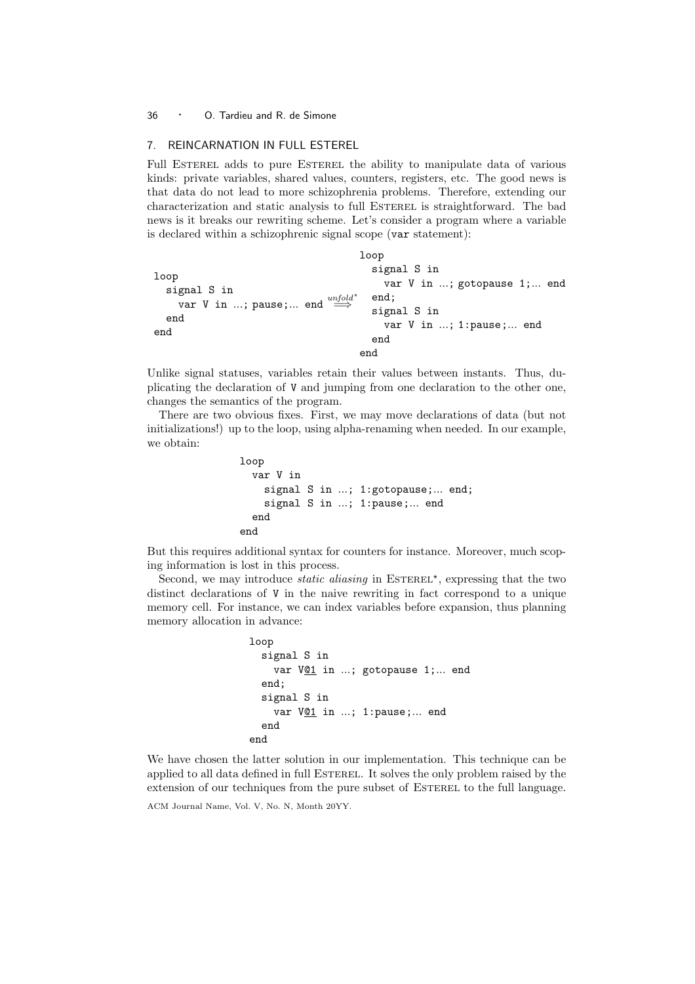## 7. REINCARNATION IN FULL ESTEREL

Full ESTEREL adds to pure ESTEREL the ability to manipulate data of various kinds: private variables, shared values, counters, registers, etc. The good news is that data do not lead to more schizophrenia problems. Therefore, extending our characterization and static analysis to full Esterel is straightforward. The bad news is it breaks our rewriting scheme. Let's consider a program where a variable is declared within a schizophrenic signal scope (var statement):

loop signal S in  $\begin{array}{l} \text{year} & \text{5 cm} \\ \text{var} & \text{V} \\ \text{in} & \ldots \\ \text{space;} & \text{end} \\ \end{array} \begin{array}{l} \text{under} \end{array}$ end end loop signal S in var V in ...; gotopause 1;... end end; signal S in var V in ...; 1:pause;... end end end

Unlike signal statuses, variables retain their values between instants. Thus, duplicating the declaration of V and jumping from one declaration to the other one, changes the semantics of the program.

There are two obvious fixes. First, we may move declarations of data (but not initializations!) up to the loop, using alpha-renaming when needed. In our example, we obtain:

```
loop
  var V in
    signal S in ...; 1:gotopause; ... end;
    signal S in ...; 1:pause;... end
  end
end
```
But this requires additional syntax for counters for instance. Moreover, much scoping information is lost in this process.

Second, we may introduce *static aliasing* in  $\text{ESTEREL}^{\star}$ , expressing that the two distinct declarations of V in the naive rewriting in fact correspond to a unique memory cell. For instance, we can index variables before expansion, thus planning memory allocation in advance:

```
loop
  signal S in
    var V@1 in ...; gotopause 1; ... end
  end;
  signal S in
    var V@1 in ...; 1:pause;... end
  end
end
```
We have chosen the latter solution in our implementation. This technique can be applied to all data defined in full ESTEREL. It solves the only problem raised by the extension of our techniques from the pure subset of ESTEREL to the full language.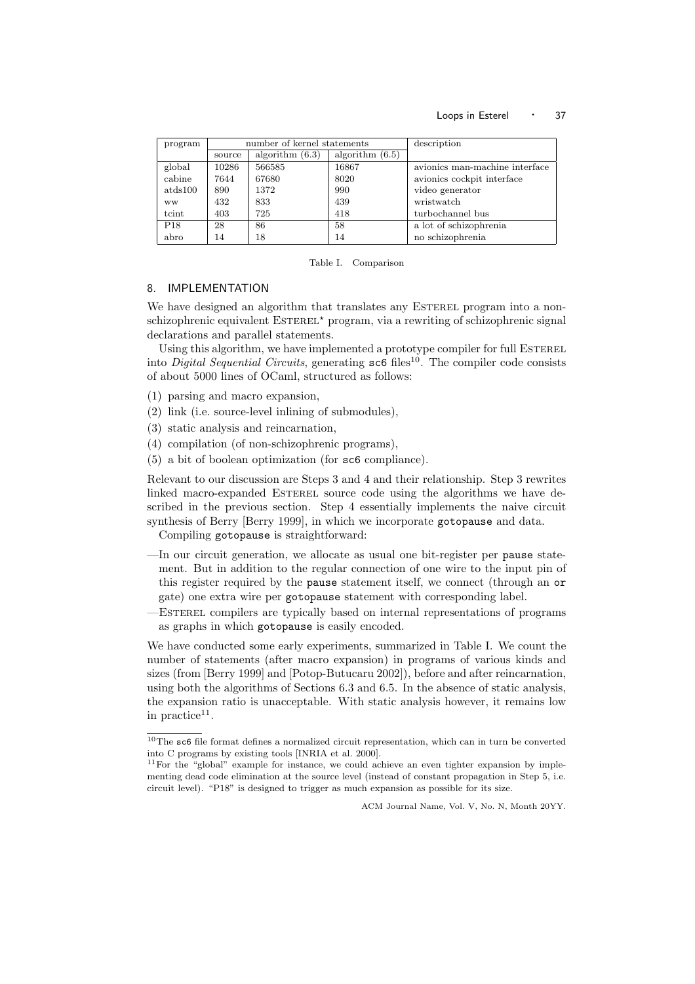| program         | number of kernel statements |                   |                   | description                    |
|-----------------|-----------------------------|-------------------|-------------------|--------------------------------|
|                 | source                      | algorithm $(6.3)$ | algorithm $(6.5)$ |                                |
| global          | 10286                       | 566585            | 16867             | avionics man-machine interface |
| cabine          | 7644                        | 67680             | 8020              | avionics cockpit interface     |
| atds100         | 890                         | 1372              | 990               | video generator                |
| <b>WW</b>       | 432                         | 833               | 439               | wristwatch                     |
| tcint           | 403                         | 725               | 418               | turbochannel bus               |
| P <sub>18</sub> | 28                          | 86                | 58                | a lot of schizophrenia         |
| abro            | 14                          | 18                | 14                | no schizophrenia               |

Table I. Comparison

#### 8. IMPLEMENTATION

We have designed an algorithm that translates any ESTEREL program into a non $schizophrenic$  equivalent  $E$ sterel<sup>\*</sup> program, via a rewriting of schizophrenic signal declarations and parallel statements.

Using this algorithm, we have implemented a prototype compiler for full ESTEREL into *Digital Sequential Circuits*, generating  $\text{sc6}$  files<sup>10</sup>. The compiler code consists of about 5000 lines of OCaml, structured as follows:

- (1) parsing and macro expansion,
- (2) link (i.e. source-level inlining of submodules),
- (3) static analysis and reincarnation,
- (4) compilation (of non-schizophrenic programs),
- (5) a bit of boolean optimization (for sc6 compliance).

Relevant to our discussion are Steps 3 and 4 and their relationship. Step 3 rewrites linked macro-expanded ESTEREL source code using the algorithms we have described in the previous section. Step 4 essentially implements the naive circuit synthesis of Berry [Berry 1999], in which we incorporate gotopause and data.

Compiling gotopause is straightforward:

- —In our circuit generation, we allocate as usual one bit-register per pause statement. But in addition to the regular connection of one wire to the input pin of this register required by the pause statement itself, we connect (through an or gate) one extra wire per gotopause statement with corresponding label.
- —Esterel compilers are typically based on internal representations of programs as graphs in which gotopause is easily encoded.

We have conducted some early experiments, summarized in Table I. We count the number of statements (after macro expansion) in programs of various kinds and sizes (from [Berry 1999] and [Potop-Butucaru 2002]), before and after reincarnation, using both the algorithms of Sections 6.3 and 6.5. In the absence of static analysis, the expansion ratio is unacceptable. With static analysis however, it remains low in practice<sup>11</sup>.

<sup>&</sup>lt;sup>10</sup>The sc6 file format defines a normalized circuit representation, which can in turn be converted into C programs by existing tools [INRIA et al. 2000].

<sup>&</sup>lt;sup>11</sup>For the "global" example for instance, we could achieve an even tighter expansion by implementing dead code elimination at the source level (instead of constant propagation in Step 5, i.e. circuit level). "P18" is designed to trigger as much expansion as possible for its size.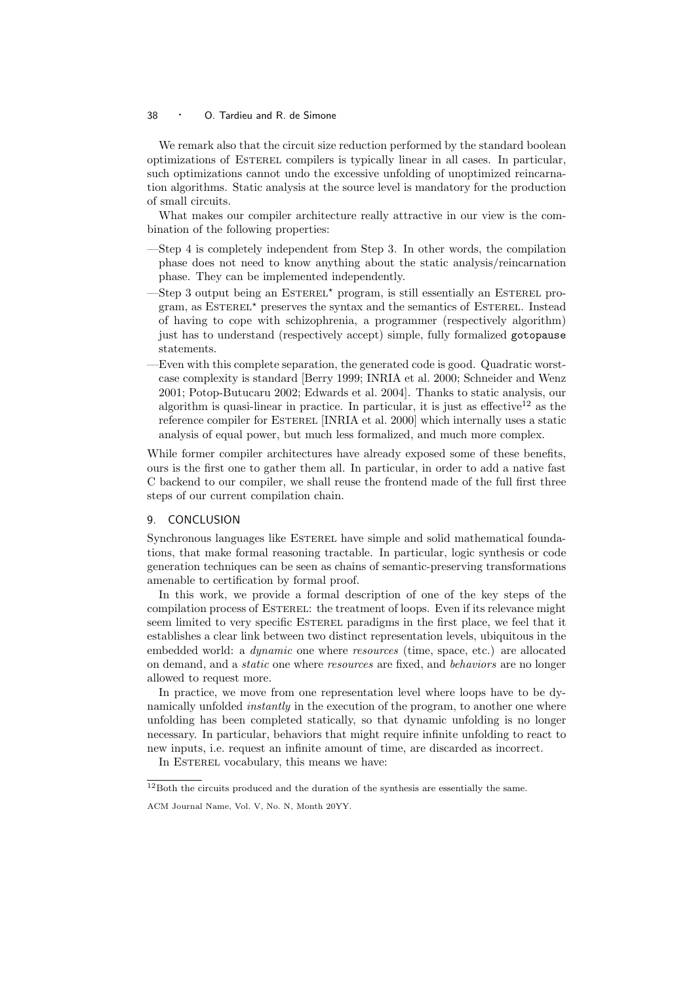We remark also that the circuit size reduction performed by the standard boolean optimizations of Esterel compilers is typically linear in all cases. In particular, such optimizations cannot undo the excessive unfolding of unoptimized reincarnation algorithms. Static analysis at the source level is mandatory for the production of small circuits.

What makes our compiler architecture really attractive in our view is the combination of the following properties:

- —Step 4 is completely independent from Step 3. In other words, the compilation phase does not need to know anything about the static analysis/reincarnation phase. They can be implemented independently.
- $-\text{Step 3 output being an ESTEREL}^* program,$  is still essentially an ESTEREL program, as  $EsterEL^*$  preserves the syntax and the semantics of ESTEREL. Instead of having to cope with schizophrenia, a programmer (respectively algorithm) just has to understand (respectively accept) simple, fully formalized gotopause statements.
- —Even with this complete separation, the generated code is good. Quadratic worstcase complexity is standard [Berry 1999; INRIA et al. 2000; Schneider and Wenz 2001; Potop-Butucaru 2002; Edwards et al. 2004]. Thanks to static analysis, our algorithm is quasi-linear in practice. In particular, it is just as effective<sup>12</sup> as the reference compiler for ESTEREL [INRIA et al. 2000] which internally uses a static analysis of equal power, but much less formalized, and much more complex.

While former compiler architectures have already exposed some of these benefits, ours is the first one to gather them all. In particular, in order to add a native fast C backend to our compiler, we shall reuse the frontend made of the full first three steps of our current compilation chain.

## 9. CONCLUSION

Synchronous languages like ESTEREL have simple and solid mathematical foundations, that make formal reasoning tractable. In particular, logic synthesis or code generation techniques can be seen as chains of semantic-preserving transformations amenable to certification by formal proof.

In this work, we provide a formal description of one of the key steps of the compilation process of Esterel: the treatment of loops. Even if its relevance might seem limited to very specific ESTEREL paradigms in the first place, we feel that it establishes a clear link between two distinct representation levels, ubiquitous in the embedded world: a *dynamic* one where *resources* (time, space, etc.) are allocated on demand, and a static one where resources are fixed, and behaviors are no longer allowed to request more.

In practice, we move from one representation level where loops have to be dynamically unfolded *instantly* in the execution of the program, to another one where unfolding has been completed statically, so that dynamic unfolding is no longer necessary. In particular, behaviors that might require infinite unfolding to react to new inputs, i.e. request an infinite amount of time, are discarded as incorrect.

In ESTEREL vocabulary, this means we have:

<sup>&</sup>lt;sup>12</sup>Both the circuits produced and the duration of the synthesis are essentially the same.

ACM Journal Name, Vol. V, No. N, Month 20YY.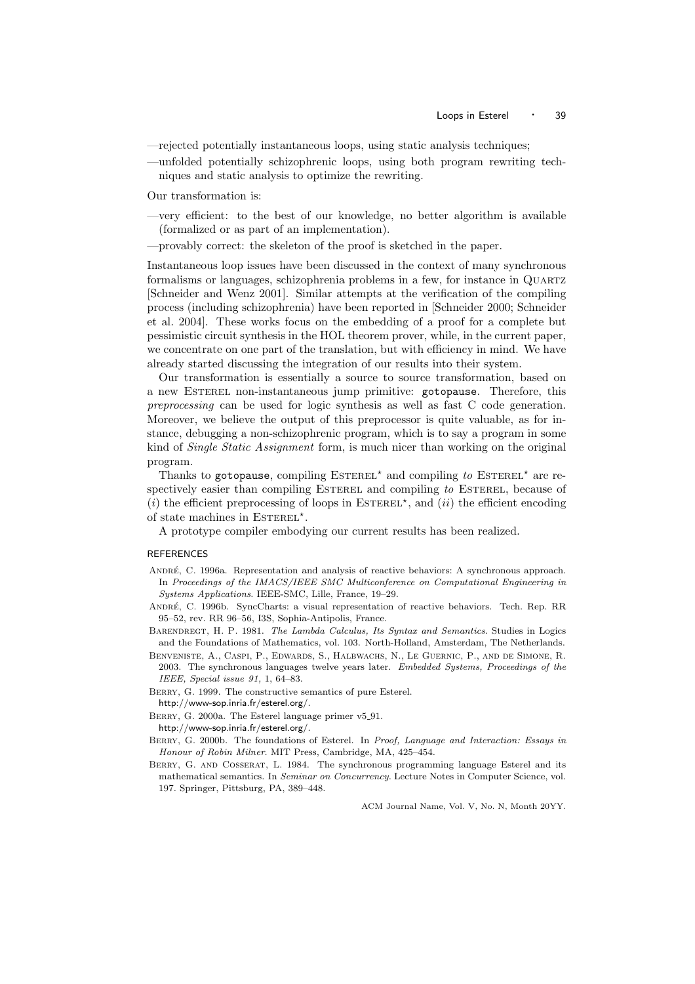- —rejected potentially instantaneous loops, using static analysis techniques;
- —unfolded potentially schizophrenic loops, using both program rewriting techniques and static analysis to optimize the rewriting.

Our transformation is:

—very efficient: to the best of our knowledge, no better algorithm is available (formalized or as part of an implementation).

—provably correct: the skeleton of the proof is sketched in the paper.

Instantaneous loop issues have been discussed in the context of many synchronous formalisms or languages, schizophrenia problems in a few, for instance in Quartz [Schneider and Wenz 2001]. Similar attempts at the verification of the compiling process (including schizophrenia) have been reported in [Schneider 2000; Schneider et al. 2004]. These works focus on the embedding of a proof for a complete but pessimistic circuit synthesis in the HOL theorem prover, while, in the current paper, we concentrate on one part of the translation, but with efficiency in mind. We have already started discussing the integration of our results into their system.

Our transformation is essentially a source to source transformation, based on a new Esterel non-instantaneous jump primitive: gotopause. Therefore, this preprocessing can be used for logic synthesis as well as fast C code generation. Moreover, we believe the output of this preprocessor is quite valuable, as for instance, debugging a non-schizophrenic program, which is to say a program in some kind of Single Static Assignment form, is much nicer than working on the original program.

Thanks to gotopause, compiling  $ESTEREL^*$  and compiling to  $ESTEREL^*$  are respectively easier than compiling ESTEREL and compiling to ESTEREL, because of (i) the efficient preprocessing of loops in  $\text{ESTEREL}^{\star}$ , and (ii) the efficient encoding of state machines in  $\text{ESTEREL*}.$ 

A prototype compiler embodying our current results has been realized.

#### REFERENCES

- ANDRÉ, C. 1996a. Representation and analysis of reactive behaviors: A synchronous approach. In Proceedings of the IMACS/IEEE SMC Multiconference on Computational Engineering in Systems Applications. IEEE-SMC, Lille, France, 19–29.
- ANDRÉ, C. 1996b. SyncCharts: a visual representation of reactive behaviors. Tech. Rep. RR 95–52, rev. RR 96–56, I3S, Sophia-Antipolis, France.
- BARENDREGT, H. P. 1981. The Lambda Calculus, Its Syntax and Semantics. Studies in Logics and the Foundations of Mathematics, vol. 103. North-Holland, Amsterdam, The Netherlands.
- Benveniste, A., Caspi, P., Edwards, S., Halbwachs, N., Le Guernic, P., and de Simone, R. 2003. The synchronous languages twelve years later. Embedded Systems, Proceedings of the IEEE, Special issue 91, 1, 64–83.
- BERRY, G. 1999. The constructive semantics of pure Esterel. http://www-sop.inria.fr/esterel.org/.
- BERRY, G. 2000a. The Esterel language primer v5<sub>-91</sub>. http://www-sop.inria.fr/esterel.org/.
- BERRY, G. 2000b. The foundations of Esterel. In Proof, Language and Interaction: Essays in Honour of Robin Milner. MIT Press, Cambridge, MA, 425–454.
- BERRY, G. AND COSSERAT, L. 1984. The synchronous programming language Esterel and its mathematical semantics. In Seminar on Concurrency. Lecture Notes in Computer Science, vol. 197. Springer, Pittsburg, PA, 389–448.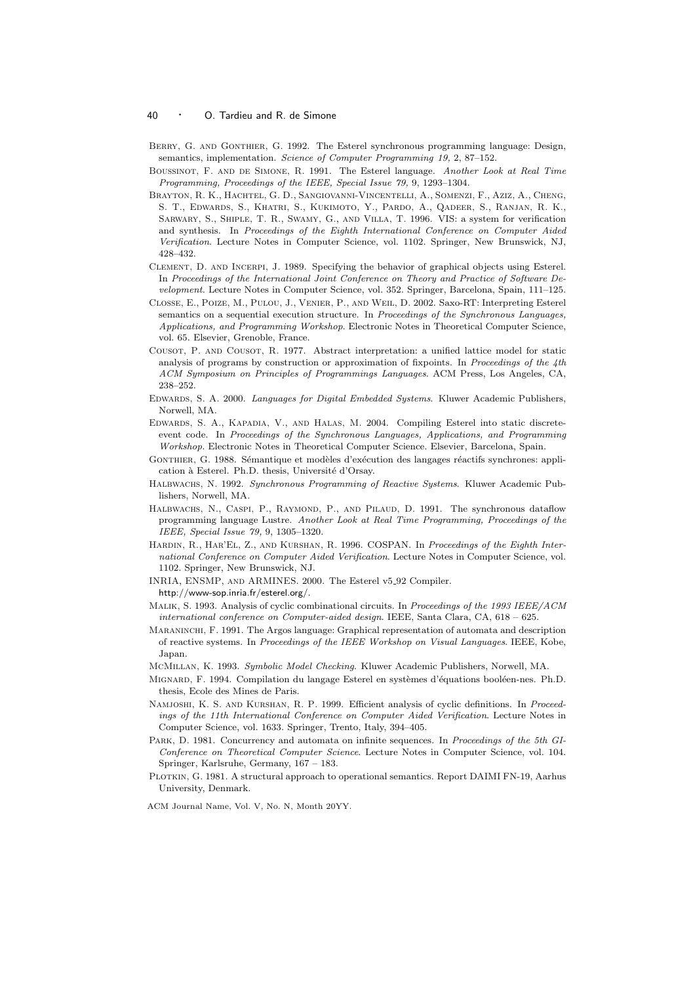- Berry, G. and Gonthier, G. 1992. The Esterel synchronous programming language: Design, semantics, implementation. Science of Computer Programming 19, 2, 87–152.
- BOUSSINOT, F. AND DE SIMONE, R. 1991. The Esterel language. Another Look at Real Time Programming, Proceedings of the IEEE, Special Issue 79, 9, 1293–1304.
- Brayton, R. K., Hachtel, G. D., Sangiovanni-Vincentelli, A., Somenzi, F., Aziz, A., Cheng, S. T., Edwards, S., Khatri, S., Kukimoto, Y., Pardo, A., Qadeer, S., Ranjan, R. K., Sarwary, S., Shiple, T. R., Swamy, G., and Villa, T. 1996. VIS: a system for verification and synthesis. In Proceedings of the Eighth International Conference on Computer Aided Verification. Lecture Notes in Computer Science, vol. 1102. Springer, New Brunswick, NJ, 428–432.
- Clement, D. and Incerpi, J. 1989. Specifying the behavior of graphical objects using Esterel. In Proceedings of the International Joint Conference on Theory and Practice of Software Development. Lecture Notes in Computer Science, vol. 352. Springer, Barcelona, Spain, 111–125.
- Closse, E., Poize, M., Pulou, J., Venier, P., and Weil, D. 2002. Saxo-RT: Interpreting Esterel semantics on a sequential execution structure. In Proceedings of the Synchronous Languages, Applications, and Programming Workshop. Electronic Notes in Theoretical Computer Science, vol. 65. Elsevier, Grenoble, France.
- Cousot, P. and Cousot, R. 1977. Abstract interpretation: a unified lattice model for static analysis of programs by construction or approximation of fixpoints. In Proceedings of the 4th ACM Symposium on Principles of Programmings Languages. ACM Press, Los Angeles, CA, 238–252.
- Edwards, S. A. 2000. Languages for Digital Embedded Systems. Kluwer Academic Publishers, Norwell, MA.
- Edwards, S. A., Kapadia, V., and Halas, M. 2004. Compiling Esterel into static discreteevent code. In Proceedings of the Synchronous Languages, Applications, and Programming Workshop. Electronic Notes in Theoretical Computer Science. Elsevier, Barcelona, Spain.
- GONTHIER, G. 1988. Sémantique et modèles d'exécution des langages réactifs synchrones: application à Esterel. Ph.D. thesis, Université d'Orsay.
- Halbwachs, N. 1992. Synchronous Programming of Reactive Systems. Kluwer Academic Publishers, Norwell, MA.
- Halbwachs, N., Caspi, P., Raymond, P., and Pilaud, D. 1991. The synchronous dataflow programming language Lustre. Another Look at Real Time Programming, Proceedings of the IEEE, Special Issue 79, 9, 1305–1320.
- Hardin, R., Har'El, Z., and Kurshan, R. 1996. COSPAN. In Proceedings of the Eighth International Conference on Computer Aided Verification. Lecture Notes in Computer Science, vol. 1102. Springer, New Brunswick, NJ.
- INRIA, ENSMP, and ARMINES. 2000. The Esterel v5 92 Compiler. http://www-sop.inria.fr/esterel.org/.
- MALIK, S. 1993. Analysis of cyclic combinational circuits. In Proceedings of the 1993 IEEE/ACM international conference on Computer-aided design. IEEE, Santa Clara, CA, 618 – 625.
- Maraninchi, F. 1991. The Argos language: Graphical representation of automata and description of reactive systems. In Proceedings of the IEEE Workshop on Visual Languages. IEEE, Kobe, Japan.
- McMillan, K. 1993. Symbolic Model Checking. Kluwer Academic Publishers, Norwell, MA.
- MIGNARD, F. 1994. Compilation du langage Esterel en systèmes d'équations booléen-nes. Ph.D. thesis, Ecole des Mines de Paris.
- NAMJOSHI, K. S. AND KURSHAN, R. P. 1999. Efficient analysis of cyclic definitions. In Proceedings of the 11th International Conference on Computer Aided Verification. Lecture Notes in Computer Science, vol. 1633. Springer, Trento, Italy, 394–405.
- PARK, D. 1981. Concurrency and automata on infinite sequences. In Proceedings of the 5th GI-Conference on Theoretical Computer Science. Lecture Notes in Computer Science, vol. 104. Springer, Karlsruhe, Germany, 167 – 183.
- Plotkin, G. 1981. A structural approach to operational semantics. Report DAIMI FN-19, Aarhus University, Denmark.